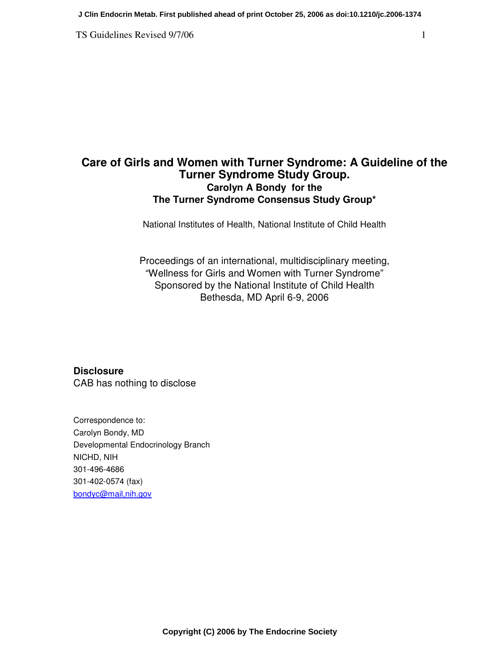TS Guidelines Revised 9/7/06 1

# **Care of Girls and Women with Turner Syndrome: A Guideline of the Turner Syndrome Study Group. Carolyn A Bondy for the The Turner Syndrome Consensus Study Group\***

National Institutes of Health, National Institute of Child Health

Proceedings of an international, multidisciplinary meeting, "Wellness for Girls and Women with Turner Syndrome" Sponsored by the National Institute of Child Health Bethesda, MD April 6-9, 2006

**Disclosure**  CAB has nothing to disclose

Correspondence to: Carolyn Bondy, MD Developmental Endocrinology Branch NICHD, NIH 301-496-4686 301-402-0574 (fax) bondyc@mail,nih.gov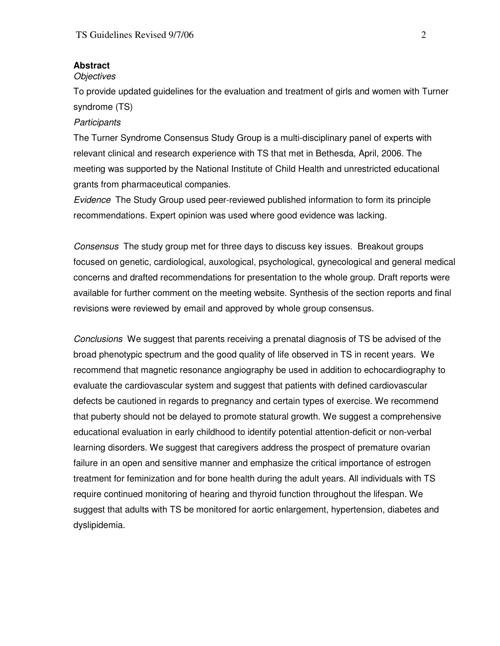## **Abstract**

#### **Objectives**

To provide updated guidelines for the evaluation and treatment of girls and women with Turner syndrome (TS)

## **Participants**

The Turner Syndrome Consensus Study Group is a multi-disciplinary panel of experts with relevant clinical and research experience with TS that met in Bethesda, April, 2006. The meeting was supported by the National Institute of Child Health and unrestricted educational grants from pharmaceutical companies.

Evidence The Study Group used peer-reviewed published information to form its principle recommendations. Expert opinion was used where good evidence was lacking.

Consensus The study group met for three days to discuss key issues. Breakout groups focused on genetic, cardiological, auxological, psychological, gynecological and general medical concerns and drafted recommendations for presentation to the whole group. Draft reports were available for further comment on the meeting website. Synthesis of the section reports and final revisions were reviewed by email and approved by whole group consensus.

Conclusions We suggest that parents receiving a prenatal diagnosis of TS be advised of the broad phenotypic spectrum and the good quality of life observed in TS in recent years. We recommend that magnetic resonance angiography be used in addition to echocardiography to evaluate the cardiovascular system and suggest that patients with defined cardiovascular defects be cautioned in regards to pregnancy and certain types of exercise. We recommend that puberty should not be delayed to promote statural growth. We suggest a comprehensive educational evaluation in early childhood to identify potential attention-deficit or non-verbal learning disorders. We suggest that caregivers address the prospect of premature ovarian failure in an open and sensitive manner and emphasize the critical importance of estrogen treatment for feminization and for bone health during the adult years. All individuals with TS require continued monitoring of hearing and thyroid function throughout the lifespan. We suggest that adults with TS be monitored for aortic enlargement, hypertension, diabetes and dyslipidemia.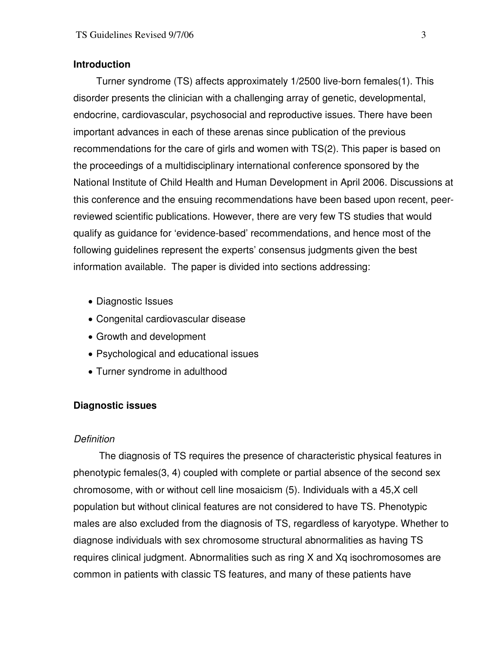## **Introduction**

 Turner syndrome (TS) affects approximately 1/2500 live-born females(1). This disorder presents the clinician with a challenging array of genetic, developmental, endocrine, cardiovascular, psychosocial and reproductive issues. There have been important advances in each of these arenas since publication of the previous recommendations for the care of girls and women with TS(2). This paper is based on the proceedings of a multidisciplinary international conference sponsored by the National Institute of Child Health and Human Development in April 2006. Discussions at this conference and the ensuing recommendations have been based upon recent, peerreviewed scientific publications. However, there are very few TS studies that would qualify as guidance for 'evidence-based' recommendations, and hence most of the following guidelines represent the experts' consensus judgments given the best information available. The paper is divided into sections addressing:

- Diagnostic Issues
- Congenital cardiovascular disease
- Growth and development
- Psychological and educational issues
- Turner syndrome in adulthood

# **Diagnostic issues**

## **Definition**

 The diagnosis of TS requires the presence of characteristic physical features in phenotypic females(3, 4) coupled with complete or partial absence of the second sex chromosome, with or without cell line mosaicism (5). Individuals with a 45,X cell population but without clinical features are not considered to have TS. Phenotypic males are also excluded from the diagnosis of TS, regardless of karyotype. Whether to diagnose individuals with sex chromosome structural abnormalities as having TS requires clinical judgment. Abnormalities such as ring X and Xq isochromosomes are common in patients with classic TS features, and many of these patients have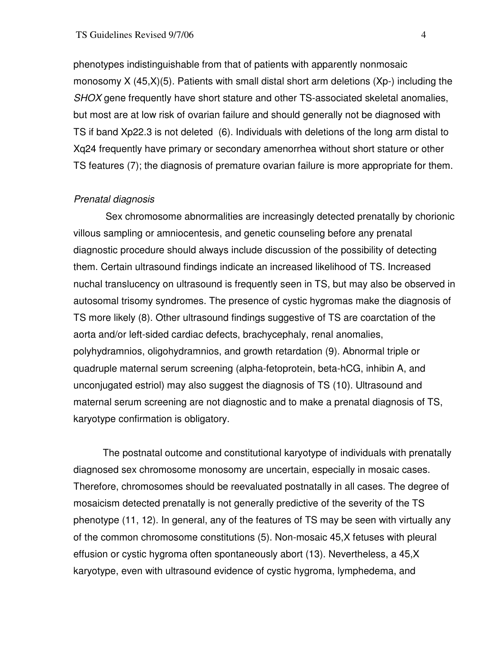phenotypes indistinguishable from that of patients with apparently nonmosaic monosomy X (45,X)(5). Patients with small distal short arm deletions (Xp-) including the SHOX gene frequently have short stature and other TS-associated skeletal anomalies, but most are at low risk of ovarian failure and should generally not be diagnosed with TS if band Xp22.3 is not deleted (6). Individuals with deletions of the long arm distal to Xq24 frequently have primary or secondary amenorrhea without short stature or other TS features (7); the diagnosis of premature ovarian failure is more appropriate for them.

## Prenatal diagnosis

Sex chromosome abnormalities are increasingly detected prenatally by chorionic villous sampling or amniocentesis, and genetic counseling before any prenatal diagnostic procedure should always include discussion of the possibility of detecting them. Certain ultrasound findings indicate an increased likelihood of TS. Increased nuchal translucency on ultrasound is frequently seen in TS, but may also be observed in autosomal trisomy syndromes. The presence of cystic hygromas make the diagnosis of TS more likely (8). Other ultrasound findings suggestive of TS are coarctation of the aorta and/or left-sided cardiac defects, brachycephaly, renal anomalies, polyhydramnios, oligohydramnios, and growth retardation (9). Abnormal triple or quadruple maternal serum screening (alpha-fetoprotein, beta-hCG, inhibin A, and unconjugated estriol) may also suggest the diagnosis of TS (10). Ultrasound and maternal serum screening are not diagnostic and to make a prenatal diagnosis of TS, karyotype confirmation is obligatory.

 The postnatal outcome and constitutional karyotype of individuals with prenatally diagnosed sex chromosome monosomy are uncertain, especially in mosaic cases. Therefore, chromosomes should be reevaluated postnatally in all cases. The degree of mosaicism detected prenatally is not generally predictive of the severity of the TS phenotype (11, 12). In general, any of the features of TS may be seen with virtually any of the common chromosome constitutions (5). Non-mosaic 45,X fetuses with pleural effusion or cystic hygroma often spontaneously abort (13). Nevertheless, a 45,X karyotype, even with ultrasound evidence of cystic hygroma, lymphedema, and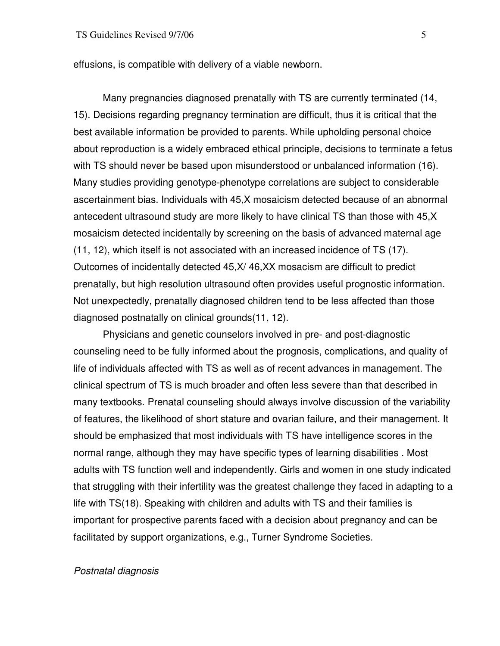effusions, is compatible with delivery of a viable newborn.

 Many pregnancies diagnosed prenatally with TS are currently terminated (14, 15). Decisions regarding pregnancy termination are difficult, thus it is critical that the best available information be provided to parents. While upholding personal choice about reproduction is a widely embraced ethical principle, decisions to terminate a fetus with TS should never be based upon misunderstood or unbalanced information (16). Many studies providing genotype-phenotype correlations are subject to considerable ascertainment bias. Individuals with 45,X mosaicism detected because of an abnormal antecedent ultrasound study are more likely to have clinical TS than those with 45,X mosaicism detected incidentally by screening on the basis of advanced maternal age (11, 12), which itself is not associated with an increased incidence of TS (17). Outcomes of incidentally detected 45,X/ 46,XX mosacism are difficult to predict prenatally, but high resolution ultrasound often provides useful prognostic information. Not unexpectedly, prenatally diagnosed children tend to be less affected than those diagnosed postnatally on clinical grounds(11, 12).

 Physicians and genetic counselors involved in pre- and post-diagnostic counseling need to be fully informed about the prognosis, complications, and quality of life of individuals affected with TS as well as of recent advances in management. The clinical spectrum of TS is much broader and often less severe than that described in many textbooks. Prenatal counseling should always involve discussion of the variability of features, the likelihood of short stature and ovarian failure, and their management. It should be emphasized that most individuals with TS have intelligence scores in the normal range, although they may have specific types of learning disabilities . Most adults with TS function well and independently. Girls and women in one study indicated that struggling with their infertility was the greatest challenge they faced in adapting to a life with TS(18). Speaking with children and adults with TS and their families is important for prospective parents faced with a decision about pregnancy and can be facilitated by support organizations, e.g., Turner Syndrome Societies.

## Postnatal diagnosis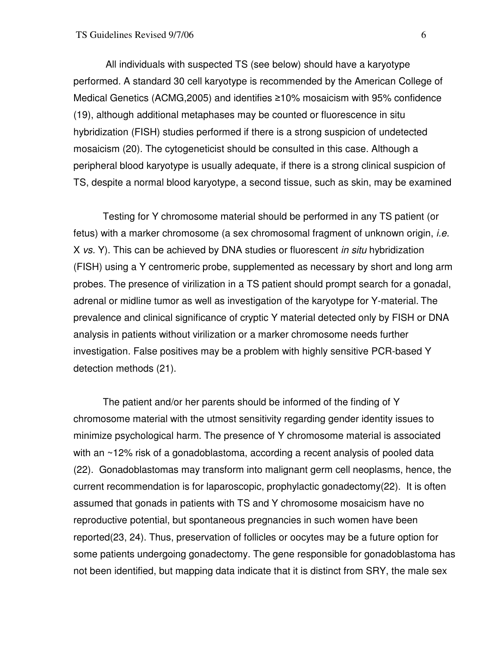All individuals with suspected TS (see below) should have a karyotype performed. A standard 30 cell karyotype is recommended by the American College of Medical Genetics (ACMG,2005) and identifies ≥10% mosaicism with 95% confidence (19), although additional metaphases may be counted or fluorescence in situ hybridization (FISH) studies performed if there is a strong suspicion of undetected mosaicism (20). The cytogeneticist should be consulted in this case. Although a peripheral blood karyotype is usually adequate, if there is a strong clinical suspicion of TS, despite a normal blood karyotype, a second tissue, such as skin, may be examined

 Testing for Y chromosome material should be performed in any TS patient (or fetus) with a marker chromosome (a sex chromosomal fragment of unknown origin, *i.e.* X vs. Y). This can be achieved by DNA studies or fluorescent in situ hybridization (FISH) using a Y centromeric probe, supplemented as necessary by short and long arm probes. The presence of virilization in a TS patient should prompt search for a gonadal, adrenal or midline tumor as well as investigation of the karyotype for Y-material. The prevalence and clinical significance of cryptic Y material detected only by FISH or DNA analysis in patients without virilization or a marker chromosome needs further investigation. False positives may be a problem with highly sensitive PCR-based Y detection methods (21).

 The patient and/or her parents should be informed of the finding of Y chromosome material with the utmost sensitivity regarding gender identity issues to minimize psychological harm. The presence of Y chromosome material is associated with an ~12% risk of a gonadoblastoma, according a recent analysis of pooled data (22). Gonadoblastomas may transform into malignant germ cell neoplasms, hence, the current recommendation is for laparoscopic, prophylactic gonadectomy(22). It is often assumed that gonads in patients with TS and Y chromosome mosaicism have no reproductive potential, but spontaneous pregnancies in such women have been reported(23, 24). Thus, preservation of follicles or oocytes may be a future option for some patients undergoing gonadectomy. The gene responsible for gonadoblastoma has not been identified, but mapping data indicate that it is distinct from SRY, the male sex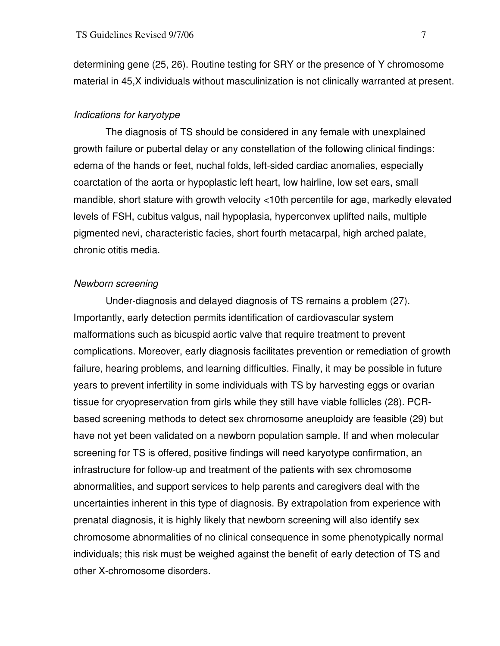determining gene (25, 26). Routine testing for SRY or the presence of Y chromosome material in 45,X individuals without masculinization is not clinically warranted at present.

#### Indications for karyotype

 The diagnosis of TS should be considered in any female with unexplained growth failure or pubertal delay or any constellation of the following clinical findings: edema of the hands or feet, nuchal folds, left-sided cardiac anomalies, especially coarctation of the aorta or hypoplastic left heart, low hairline, low set ears, small mandible, short stature with growth velocity <10th percentile for age, markedly elevated levels of FSH, cubitus valgus, nail hypoplasia, hyperconvex uplifted nails, multiple pigmented nevi, characteristic facies, short fourth metacarpal, high arched palate, chronic otitis media.

#### Newborn screening

Under-diagnosis and delayed diagnosis of TS remains a problem (27). Importantly, early detection permits identification of cardiovascular system malformations such as bicuspid aortic valve that require treatment to prevent complications. Moreover, early diagnosis facilitates prevention or remediation of growth failure, hearing problems, and learning difficulties. Finally, it may be possible in future years to prevent infertility in some individuals with TS by harvesting eggs or ovarian tissue for cryopreservation from girls while they still have viable follicles (28). PCRbased screening methods to detect sex chromosome aneuploidy are feasible (29) but have not yet been validated on a newborn population sample. If and when molecular screening for TS is offered, positive findings will need karyotype confirmation, an infrastructure for follow-up and treatment of the patients with sex chromosome abnormalities, and support services to help parents and caregivers deal with the uncertainties inherent in this type of diagnosis. By extrapolation from experience with prenatal diagnosis, it is highly likely that newborn screening will also identify sex chromosome abnormalities of no clinical consequence in some phenotypically normal individuals; this risk must be weighed against the benefit of early detection of TS and other X-chromosome disorders.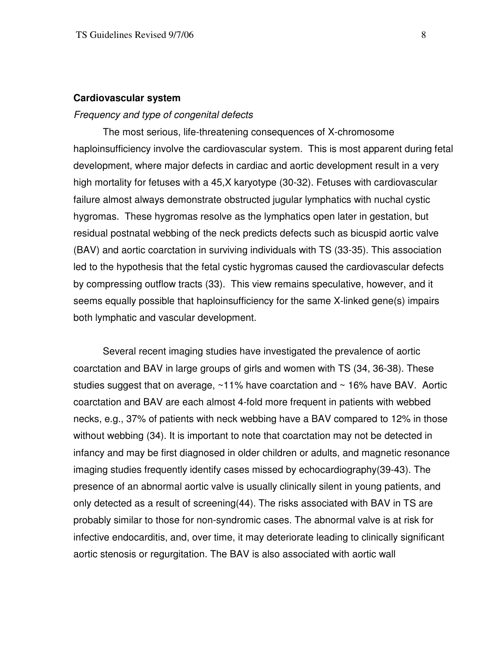#### **Cardiovascular system**

#### Frequency and type of congenital defects

 The most serious, life-threatening consequences of X-chromosome haploinsufficiency involve the cardiovascular system. This is most apparent during fetal development, where major defects in cardiac and aortic development result in a very high mortality for fetuses with a 45,X karyotype (30-32). Fetuses with cardiovascular failure almost always demonstrate obstructed jugular lymphatics with nuchal cystic hygromas. These hygromas resolve as the lymphatics open later in gestation, but residual postnatal webbing of the neck predicts defects such as bicuspid aortic valve (BAV) and aortic coarctation in surviving individuals with TS (33-35). This association led to the hypothesis that the fetal cystic hygromas caused the cardiovascular defects by compressing outflow tracts (33). This view remains speculative, however, and it seems equally possible that haploinsufficiency for the same X-linked gene(s) impairs both lymphatic and vascular development.

 Several recent imaging studies have investigated the prevalence of aortic coarctation and BAV in large groups of girls and women with TS (34, 36-38). These studies suggest that on average,  $~11\%$  have coarctation and  $~16\%$  have BAV. Aortic coarctation and BAV are each almost 4-fold more frequent in patients with webbed necks, e.g., 37% of patients with neck webbing have a BAV compared to 12% in those without webbing (34). It is important to note that coarctation may not be detected in infancy and may be first diagnosed in older children or adults, and magnetic resonance imaging studies frequently identify cases missed by echocardiography(39-43). The presence of an abnormal aortic valve is usually clinically silent in young patients, and only detected as a result of screening(44). The risks associated with BAV in TS are probably similar to those for non-syndromic cases. The abnormal valve is at risk for infective endocarditis, and, over time, it may deteriorate leading to clinically significant aortic stenosis or regurgitation. The BAV is also associated with aortic wall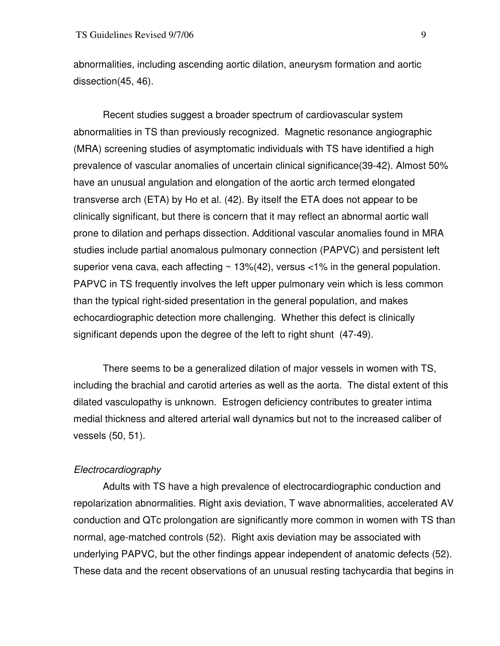abnormalities, including ascending aortic dilation, aneurysm formation and aortic dissection(45, 46).

 Recent studies suggest a broader spectrum of cardiovascular system abnormalities in TS than previously recognized. Magnetic resonance angiographic (MRA) screening studies of asymptomatic individuals with TS have identified a high prevalence of vascular anomalies of uncertain clinical significance(39-42). Almost 50% have an unusual angulation and elongation of the aortic arch termed elongated transverse arch (ETA) by Ho et al. (42). By itself the ETA does not appear to be clinically significant, but there is concern that it may reflect an abnormal aortic wall prone to dilation and perhaps dissection. Additional vascular anomalies found in MRA studies include partial anomalous pulmonary connection (PAPVC) and persistent left superior vena cava, each affecting  $\sim$  13%(42), versus <1% in the general population. PAPVC in TS frequently involves the left upper pulmonary vein which is less common than the typical right-sided presentation in the general population, and makes echocardiographic detection more challenging. Whether this defect is clinically significant depends upon the degree of the left to right shunt (47-49).

 There seems to be a generalized dilation of major vessels in women with TS, including the brachial and carotid arteries as well as the aorta. The distal extent of this dilated vasculopathy is unknown. Estrogen deficiency contributes to greater intima medial thickness and altered arterial wall dynamics but not to the increased caliber of vessels (50, 51).

## Electrocardiography

 Adults with TS have a high prevalence of electrocardiographic conduction and repolarization abnormalities. Right axis deviation, T wave abnormalities, accelerated AV conduction and QTc prolongation are significantly more common in women with TS than normal, age-matched controls (52). Right axis deviation may be associated with underlying PAPVC, but the other findings appear independent of anatomic defects (52). These data and the recent observations of an unusual resting tachycardia that begins in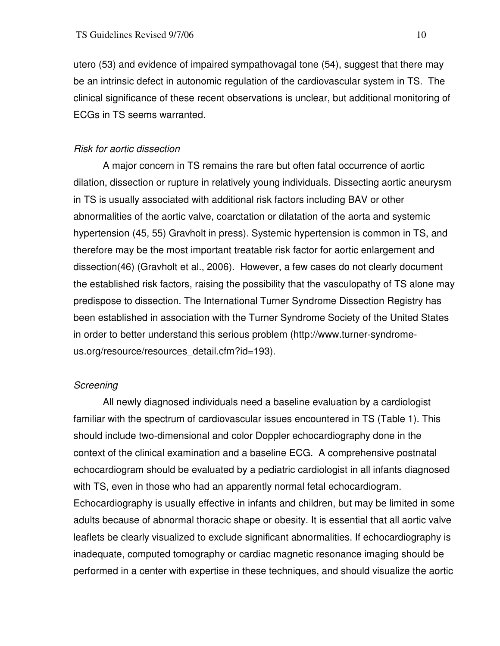utero (53) and evidence of impaired sympathovagal tone (54), suggest that there may be an intrinsic defect in autonomic regulation of the cardiovascular system in TS. The clinical significance of these recent observations is unclear, but additional monitoring of ECGs in TS seems warranted.

## Risk for aortic dissection

 A major concern in TS remains the rare but often fatal occurrence of aortic dilation, dissection or rupture in relatively young individuals. Dissecting aortic aneurysm in TS is usually associated with additional risk factors including BAV or other abnormalities of the aortic valve, coarctation or dilatation of the aorta and systemic hypertension (45, 55) Gravholt in press). Systemic hypertension is common in TS, and therefore may be the most important treatable risk factor for aortic enlargement and dissection(46) (Gravholt et al., 2006). However, a few cases do not clearly document the established risk factors, raising the possibility that the vasculopathy of TS alone may predispose to dissection. The International Turner Syndrome Dissection Registry has been established in association with the Turner Syndrome Society of the United States in order to better understand this serious problem (http://www.turner-syndromeus.org/resource/resources\_detail.cfm?id=193).

#### Screening

 All newly diagnosed individuals need a baseline evaluation by a cardiologist familiar with the spectrum of cardiovascular issues encountered in TS (Table 1). This should include two-dimensional and color Doppler echocardiography done in the context of the clinical examination and a baseline ECG. A comprehensive postnatal echocardiogram should be evaluated by a pediatric cardiologist in all infants diagnosed with TS, even in those who had an apparently normal fetal echocardiogram. Echocardiography is usually effective in infants and children, but may be limited in some adults because of abnormal thoracic shape or obesity. It is essential that all aortic valve leaflets be clearly visualized to exclude significant abnormalities. If echocardiography is inadequate, computed tomography or cardiac magnetic resonance imaging should be performed in a center with expertise in these techniques, and should visualize the aortic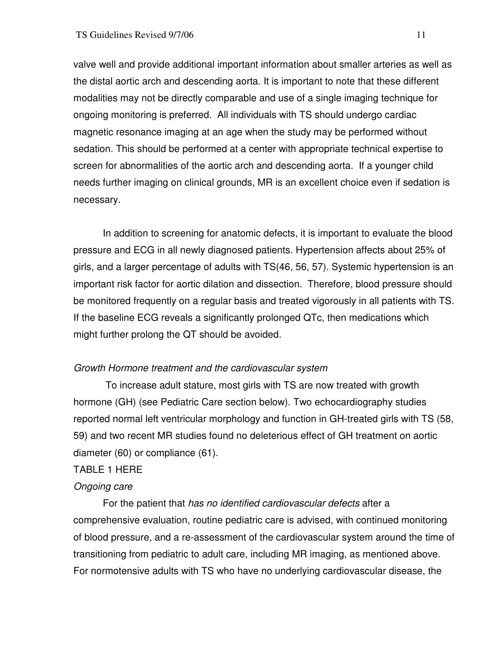valve well and provide additional important information about smaller arteries as well as the distal aortic arch and descending aorta. It is important to note that these different modalities may not be directly comparable and use of a single imaging technique for ongoing monitoring is preferred. All individuals with TS should undergo cardiac magnetic resonance imaging at an age when the study may be performed without sedation. This should be performed at a center with appropriate technical expertise to screen for abnormalities of the aortic arch and descending aorta. If a younger child needs further imaging on clinical grounds, MR is an excellent choice even if sedation is necessary.

 In addition to screening for anatomic defects, it is important to evaluate the blood pressure and ECG in all newly diagnosed patients. Hypertension affects about 25% of girls, and a larger percentage of adults with TS(46, 56, 57). Systemic hypertension is an important risk factor for aortic dilation and dissection. Therefore, blood pressure should be monitored frequently on a regular basis and treated vigorously in all patients with TS. If the baseline ECG reveals a significantly prolonged QTc, then medications which might further prolong the QT should be avoided.

# Growth Hormone treatment and the cardiovascular system

 To increase adult stature, most girls with TS are now treated with growth hormone (GH) (see Pediatric Care section below). Two echocardiography studies reported normal left ventricular morphology and function in GH-treated girls with TS (58, 59) and two recent MR studies found no deleterious effect of GH treatment on aortic diameter (60) or compliance (61).

## TABLE 1 HERE

## Ongoing care

 For the patient that has no identified cardiovascular defects after a comprehensive evaluation, routine pediatric care is advised, with continued monitoring of blood pressure, and a re-assessment of the cardiovascular system around the time of transitioning from pediatric to adult care, including MR imaging, as mentioned above. For normotensive adults with TS who have no underlying cardiovascular disease, the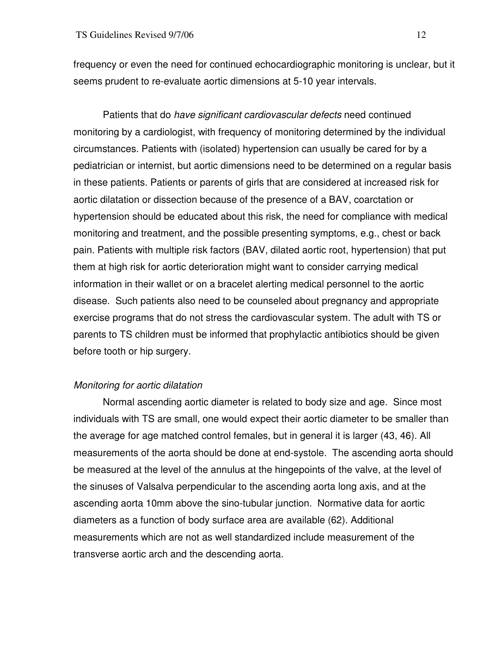frequency or even the need for continued echocardiographic monitoring is unclear, but it seems prudent to re-evaluate aortic dimensions at 5-10 year intervals.

 Patients that do have significant cardiovascular defects need continued monitoring by a cardiologist, with frequency of monitoring determined by the individual circumstances. Patients with (isolated) hypertension can usually be cared for by a pediatrician or internist, but aortic dimensions need to be determined on a regular basis in these patients. Patients or parents of girls that are considered at increased risk for aortic dilatation or dissection because of the presence of a BAV, coarctation or hypertension should be educated about this risk, the need for compliance with medical monitoring and treatment, and the possible presenting symptoms, e.g., chest or back pain. Patients with multiple risk factors (BAV, dilated aortic root, hypertension) that put them at high risk for aortic deterioration might want to consider carrying medical information in their wallet or on a bracelet alerting medical personnel to the aortic disease. Such patients also need to be counseled about pregnancy and appropriate exercise programs that do not stress the cardiovascular system. The adult with TS or parents to TS children must be informed that prophylactic antibiotics should be given before tooth or hip surgery.

# Monitoring for aortic dilatation

 Normal ascending aortic diameter is related to body size and age. Since most individuals with TS are small, one would expect their aortic diameter to be smaller than the average for age matched control females, but in general it is larger (43, 46). All measurements of the aorta should be done at end-systole. The ascending aorta should be measured at the level of the annulus at the hingepoints of the valve, at the level of the sinuses of Valsalva perpendicular to the ascending aorta long axis, and at the ascending aorta 10mm above the sino-tubular junction. Normative data for aortic diameters as a function of body surface area are available (62). Additional measurements which are not as well standardized include measurement of the transverse aortic arch and the descending aorta.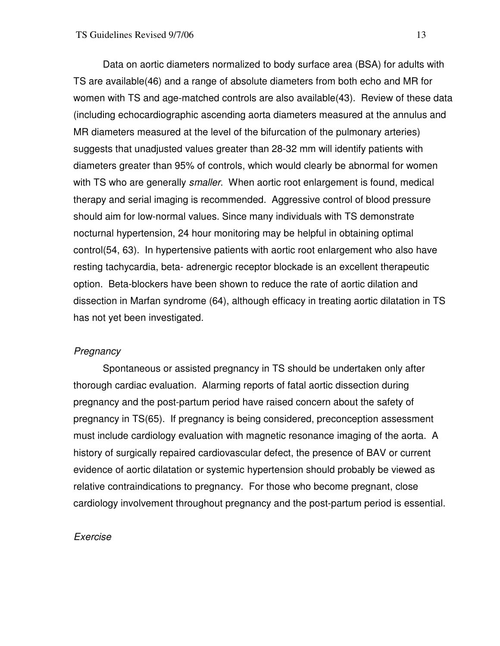Data on aortic diameters normalized to body surface area (BSA) for adults with TS are available(46) and a range of absolute diameters from both echo and MR for women with TS and age-matched controls are also available(43). Review of these data (including echocardiographic ascending aorta diameters measured at the annulus and MR diameters measured at the level of the bifurcation of the pulmonary arteries) suggests that unadjusted values greater than 28-32 mm will identify patients with diameters greater than 95% of controls, which would clearly be abnormal for women with TS who are generally *smaller*. When aortic root enlargement is found, medical therapy and serial imaging is recommended. Aggressive control of blood pressure should aim for low-normal values. Since many individuals with TS demonstrate nocturnal hypertension, 24 hour monitoring may be helpful in obtaining optimal control(54, 63). In hypertensive patients with aortic root enlargement who also have resting tachycardia, beta- adrenergic receptor blockade is an excellent therapeutic option. Beta-blockers have been shown to reduce the rate of aortic dilation and dissection in Marfan syndrome (64), although efficacy in treating aortic dilatation in TS has not yet been investigated.

# **Pregnancy**

 Spontaneous or assisted pregnancy in TS should be undertaken only after thorough cardiac evaluation. Alarming reports of fatal aortic dissection during pregnancy and the post-partum period have raised concern about the safety of pregnancy in TS(65). If pregnancy is being considered, preconception assessment must include cardiology evaluation with magnetic resonance imaging of the aorta. A history of surgically repaired cardiovascular defect, the presence of BAV or current evidence of aortic dilatation or systemic hypertension should probably be viewed as relative contraindications to pregnancy. For those who become pregnant, close cardiology involvement throughout pregnancy and the post-partum period is essential.

#### Exercise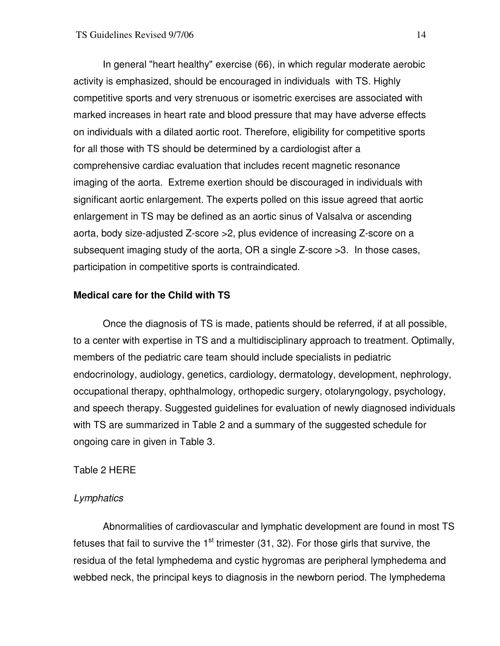In general "heart healthy" exercise (66), in which regular moderate aerobic activity is emphasized, should be encouraged in individuals with TS. Highly competitive sports and very strenuous or isometric exercises are associated with marked increases in heart rate and blood pressure that may have adverse effects on individuals with a dilated aortic root. Therefore, eligibility for competitive sports for all those with TS should be determined by a cardiologist after a comprehensive cardiac evaluation that includes recent magnetic resonance imaging of the aorta. Extreme exertion should be discouraged in individuals with significant aortic enlargement. The experts polled on this issue agreed that aortic enlargement in TS may be defined as an aortic sinus of Valsalva or ascending aorta, body size-adjusted Z-score >2, plus evidence of increasing Z-score on a subsequent imaging study of the aorta, OR a single Z-score >3. In those cases, participation in competitive sports is contraindicated.

## **Medical care for the Child with TS**

 Once the diagnosis of TS is made, patients should be referred, if at all possible, to a center with expertise in TS and a multidisciplinary approach to treatment. Optimally, members of the pediatric care team should include specialists in pediatric endocrinology, audiology, genetics, cardiology, dermatology, development, nephrology, occupational therapy, ophthalmology, orthopedic surgery, otolaryngology, psychology, and speech therapy. Suggested guidelines for evaluation of newly diagnosed individuals with TS are summarized in Table 2 and a summary of the suggested schedule for ongoing care in given in Table 3.

## Table 2 HERE

## Lymphatics

Abnormalities of cardiovascular and lymphatic development are found in most TS fetuses that fail to survive the  $1<sup>st</sup>$  trimester (31, 32). For those girls that survive, the residua of the fetal lymphedema and cystic hygromas are peripheral lymphedema and webbed neck, the principal keys to diagnosis in the newborn period. The lymphedema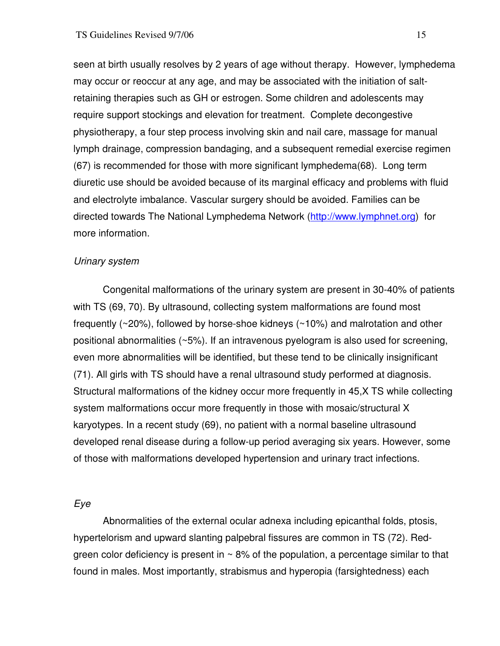seen at birth usually resolves by 2 years of age without therapy. However, lymphedema may occur or reoccur at any age, and may be associated with the initiation of saltretaining therapies such as GH or estrogen. Some children and adolescents may require support stockings and elevation for treatment. Complete decongestive physiotherapy, a four step process involving skin and nail care, massage for manual lymph drainage, compression bandaging, and a subsequent remedial exercise regimen (67) is recommended for those with more significant lymphedema(68). Long term diuretic use should be avoided because of its marginal efficacy and problems with fluid and electrolyte imbalance. Vascular surgery should be avoided. Families can be directed towards The National Lymphedema Network (http://www.lymphnet.org) for more information.

## Urinary system

Congenital malformations of the urinary system are present in 30-40% of patients with TS (69, 70). By ultrasound, collecting system malformations are found most frequently (~20%), followed by horse-shoe kidneys (~10%) and malrotation and other positional abnormalities (~5%). If an intravenous pyelogram is also used for screening, even more abnormalities will be identified, but these tend to be clinically insignificant (71). All girls with TS should have a renal ultrasound study performed at diagnosis. Structural malformations of the kidney occur more frequently in 45,X TS while collecting system malformations occur more frequently in those with mosaic/structural X karyotypes. In a recent study (69), no patient with a normal baseline ultrasound developed renal disease during a follow-up period averaging six years. However, some of those with malformations developed hypertension and urinary tract infections.

## Eye

Abnormalities of the external ocular adnexa including epicanthal folds, ptosis, hypertelorism and upward slanting palpebral fissures are common in TS (72). Redgreen color deficiency is present in  $\sim$  8% of the population, a percentage similar to that found in males. Most importantly, strabismus and hyperopia (farsightedness) each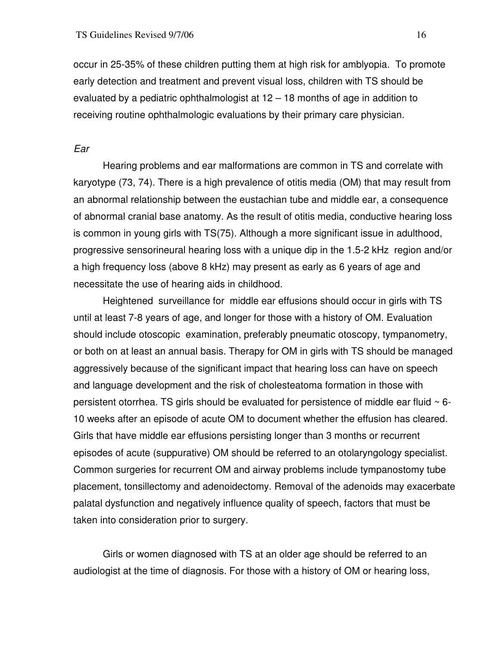occur in 25-35% of these children putting them at high risk for amblyopia. To promote early detection and treatment and prevent visual loss, children with TS should be evaluated by a pediatric ophthalmologist at 12 – 18 months of age in addition to receiving routine ophthalmologic evaluations by their primary care physician.

#### Ear

Hearing problems and ear malformations are common in TS and correlate with karyotype (73, 74). There is a high prevalence of otitis media (OM) that may result from an abnormal relationship between the eustachian tube and middle ear, a consequence of abnormal cranial base anatomy. As the result of otitis media, conductive hearing loss is common in young girls with TS(75). Although a more significant issue in adulthood, progressive sensorineural hearing loss with a unique dip in the 1.5-2 kHz region and/or a high frequency loss (above 8 kHz) may present as early as 6 years of age and necessitate the use of hearing aids in childhood.

 Heightened surveillance for middle ear effusions should occur in girls with TS until at least 7-8 years of age, and longer for those with a history of OM. Evaluation should include otoscopic examination, preferably pneumatic otoscopy, tympanometry, or both on at least an annual basis. Therapy for OM in girls with TS should be managed aggressively because of the significant impact that hearing loss can have on speech and language development and the risk of cholesteatoma formation in those with persistent otorrhea. TS girls should be evaluated for persistence of middle ear fluid  $\sim$  6-10 weeks after an episode of acute OM to document whether the effusion has cleared. Girls that have middle ear effusions persisting longer than 3 months or recurrent episodes of acute (suppurative) OM should be referred to an otolaryngology specialist. Common surgeries for recurrent OM and airway problems include tympanostomy tube placement, tonsillectomy and adenoidectomy. Removal of the adenoids may exacerbate palatal dysfunction and negatively influence quality of speech, factors that must be taken into consideration prior to surgery.

 Girls or women diagnosed with TS at an older age should be referred to an audiologist at the time of diagnosis. For those with a history of OM or hearing loss,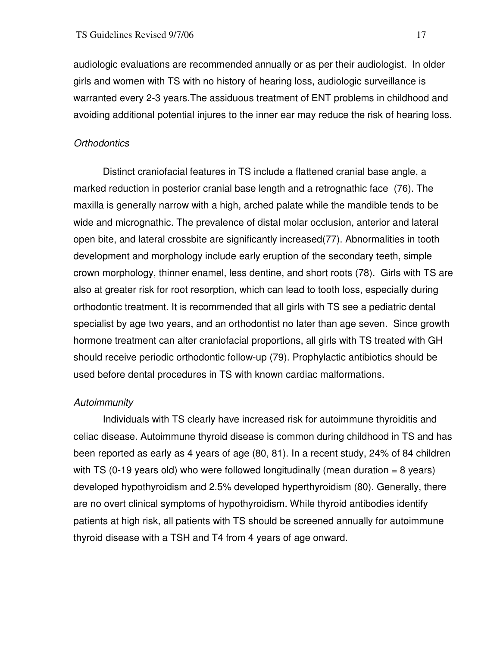audiologic evaluations are recommended annually or as per their audiologist. In older girls and women with TS with no history of hearing loss, audiologic surveillance is warranted every 2-3 years.The assiduous treatment of ENT problems in childhood and avoiding additional potential injures to the inner ear may reduce the risk of hearing loss.

#### **Orthodontics**

 Distinct craniofacial features in TS include a flattened cranial base angle, a marked reduction in posterior cranial base length and a retrognathic face (76). The maxilla is generally narrow with a high, arched palate while the mandible tends to be wide and micrognathic. The prevalence of distal molar occlusion, anterior and lateral open bite, and lateral crossbite are significantly increased(77). Abnormalities in tooth development and morphology include early eruption of the secondary teeth, simple crown morphology, thinner enamel, less dentine, and short roots (78). Girls with TS are also at greater risk for root resorption, which can lead to tooth loss, especially during orthodontic treatment. It is recommended that all girls with TS see a pediatric dental specialist by age two years, and an orthodontist no later than age seven. Since growth hormone treatment can alter craniofacial proportions, all girls with TS treated with GH should receive periodic orthodontic follow-up (79). Prophylactic antibiotics should be used before dental procedures in TS with known cardiac malformations.

#### Autoimmunity

Individuals with TS clearly have increased risk for autoimmune thyroiditis and celiac disease. Autoimmune thyroid disease is common during childhood in TS and has been reported as early as 4 years of age (80, 81). In a recent study, 24% of 84 children with TS (0-19 years old) who were followed longitudinally (mean duration  $= 8$  years) developed hypothyroidism and 2.5% developed hyperthyroidism (80). Generally, there are no overt clinical symptoms of hypothyroidism. While thyroid antibodies identify patients at high risk, all patients with TS should be screened annually for autoimmune thyroid disease with a TSH and T4 from 4 years of age onward.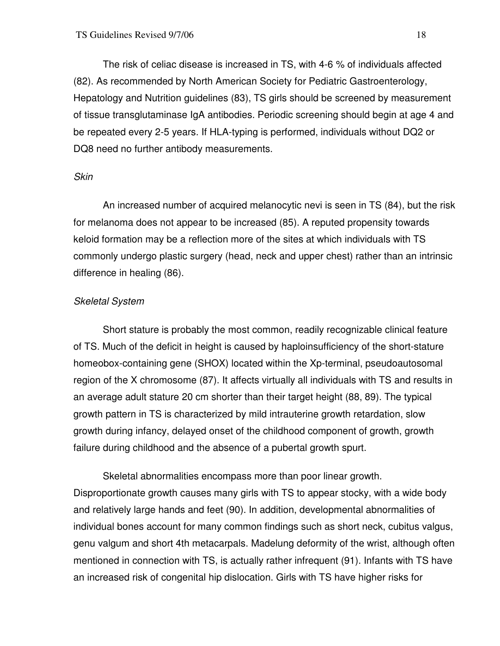The risk of celiac disease is increased in TS, with 4-6 % of individuals affected (82). As recommended by North American Society for Pediatric Gastroenterology, Hepatology and Nutrition guidelines (83), TS girls should be screened by measurement of tissue transglutaminase IgA antibodies. Periodic screening should begin at age 4 and be repeated every 2-5 years. If HLA-typing is performed, individuals without DQ2 or DQ8 need no further antibody measurements.

## Skin

An increased number of acquired melanocytic nevi is seen in TS (84), but the risk for melanoma does not appear to be increased (85). A reputed propensity towards keloid formation may be a reflection more of the sites at which individuals with TS commonly undergo plastic surgery (head, neck and upper chest) rather than an intrinsic difference in healing (86).

# Skeletal System

 Short stature is probably the most common, readily recognizable clinical feature of TS. Much of the deficit in height is caused by haploinsufficiency of the short-stature homeobox-containing gene (SHOX) located within the Xp-terminal, pseudoautosomal region of the X chromosome (87). It affects virtually all individuals with TS and results in an average adult stature 20 cm shorter than their target height (88, 89). The typical growth pattern in TS is characterized by mild intrauterine growth retardation, slow growth during infancy, delayed onset of the childhood component of growth, growth failure during childhood and the absence of a pubertal growth spurt.

 Skeletal abnormalities encompass more than poor linear growth. Disproportionate growth causes many girls with TS to appear stocky, with a wide body and relatively large hands and feet (90). In addition, developmental abnormalities of individual bones account for many common findings such as short neck, cubitus valgus, genu valgum and short 4th metacarpals. Madelung deformity of the wrist, although often mentioned in connection with TS, is actually rather infrequent (91). Infants with TS have an increased risk of congenital hip dislocation. Girls with TS have higher risks for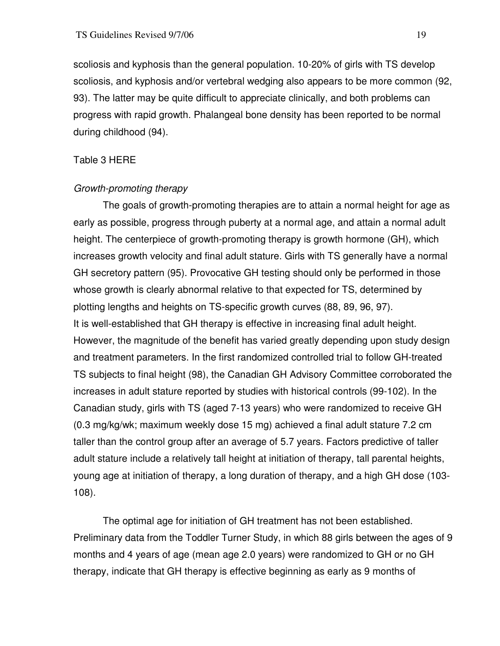scoliosis and kyphosis than the general population. 10-20% of girls with TS develop scoliosis, and kyphosis and/or vertebral wedging also appears to be more common (92, 93). The latter may be quite difficult to appreciate clinically, and both problems can progress with rapid growth. Phalangeal bone density has been reported to be normal during childhood (94).

# Table 3 HERE

# Growth-promoting therapy

 The goals of growth-promoting therapies are to attain a normal height for age as early as possible, progress through puberty at a normal age, and attain a normal adult height. The centerpiece of growth-promoting therapy is growth hormone (GH), which increases growth velocity and final adult stature. Girls with TS generally have a normal GH secretory pattern (95). Provocative GH testing should only be performed in those whose growth is clearly abnormal relative to that expected for TS, determined by plotting lengths and heights on TS-specific growth curves (88, 89, 96, 97). It is well-established that GH therapy is effective in increasing final adult height. However, the magnitude of the benefit has varied greatly depending upon study design and treatment parameters. In the first randomized controlled trial to follow GH-treated TS subjects to final height (98), the Canadian GH Advisory Committee corroborated the increases in adult stature reported by studies with historical controls (99-102). In the Canadian study, girls with TS (aged 7-13 years) who were randomized to receive GH (0.3 mg/kg/wk; maximum weekly dose 15 mg) achieved a final adult stature 7.2 cm taller than the control group after an average of 5.7 years. Factors predictive of taller adult stature include a relatively tall height at initiation of therapy, tall parental heights, young age at initiation of therapy, a long duration of therapy, and a high GH dose (103- 108).

 The optimal age for initiation of GH treatment has not been established. Preliminary data from the Toddler Turner Study, in which 88 girls between the ages of 9 months and 4 years of age (mean age 2.0 years) were randomized to GH or no GH therapy, indicate that GH therapy is effective beginning as early as 9 months of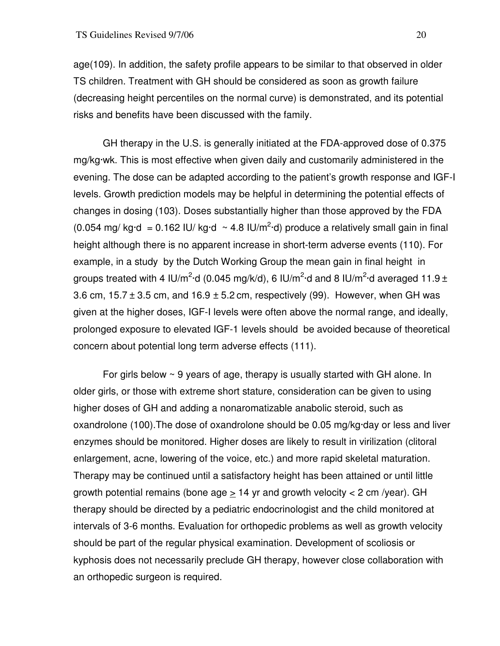age(109). In addition, the safety profile appears to be similar to that observed in older TS children. Treatment with GH should be considered as soon as growth failure (decreasing height percentiles on the normal curve) is demonstrated, and its potential risks and benefits have been discussed with the family.

 GH therapy in the U.S. is generally initiated at the FDA-approved dose of 0.375 mg/kg·wk. This is most effective when given daily and customarily administered in the evening. The dose can be adapted according to the patient's growth response and IGF-I levels. Growth prediction models may be helpful in determining the potential effects of changes in dosing (103). Doses substantially higher than those approved by the FDA (0.054 mg/ kg·d = 0.162 IU/ kg·d  $\sim$  4.8 IU/m<sup>2</sup>·d) produce a relatively small gain in final height although there is no apparent increase in short-term adverse events (110). For example, in a study by the Dutch Working Group the mean gain in final height in groups treated with 4 IU/m<sup>2</sup>·d (0.045 mg/k/d), 6 IU/m<sup>2</sup>·d and 8 IU/m<sup>2</sup>·d averaged 11.9 ± 3.6 cm,  $15.7 \pm 3.5$  cm, and  $16.9 \pm 5.2$  cm, respectively (99). However, when GH was given at the higher doses, IGF-I levels were often above the normal range, and ideally, prolonged exposure to elevated IGF-1 levels should be avoided because of theoretical concern about potential long term adverse effects (111).

For girls below  $\sim$  9 years of age, therapy is usually started with GH alone. In older girls, or those with extreme short stature, consideration can be given to using higher doses of GH and adding a nonaromatizable anabolic steroid, such as oxandrolone (100).The dose of oxandrolone should be 0.05 mg/kg·day or less and liver enzymes should be monitored. Higher doses are likely to result in virilization (clitoral enlargement, acne, lowering of the voice, etc.) and more rapid skeletal maturation. Therapy may be continued until a satisfactory height has been attained or until little growth potential remains (bone age  $\geq$  14 yr and growth velocity < 2 cm /year). GH therapy should be directed by a pediatric endocrinologist and the child monitored at intervals of 3-6 months. Evaluation for orthopedic problems as well as growth velocity should be part of the regular physical examination. Development of scoliosis or kyphosis does not necessarily preclude GH therapy, however close collaboration with an orthopedic surgeon is required.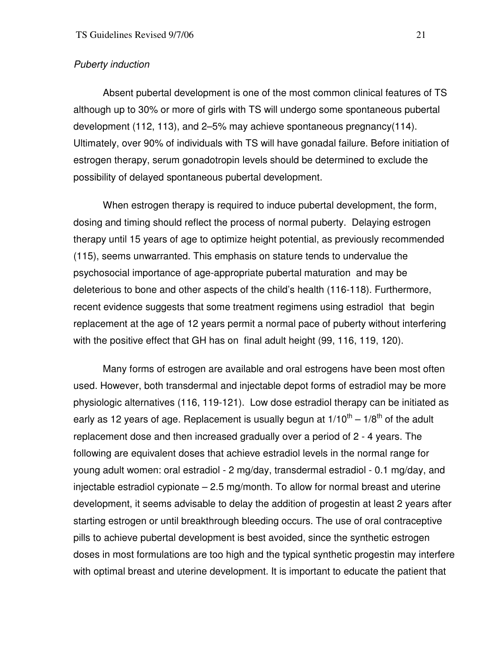## Puberty induction

 Absent pubertal development is one of the most common clinical features of TS although up to 30% or more of girls with TS will undergo some spontaneous pubertal development (112, 113), and 2–5% may achieve spontaneous pregnancy(114). Ultimately, over 90% of individuals with TS will have gonadal failure. Before initiation of estrogen therapy, serum gonadotropin levels should be determined to exclude the possibility of delayed spontaneous pubertal development.

 When estrogen therapy is required to induce pubertal development, the form, dosing and timing should reflect the process of normal puberty. Delaying estrogen therapy until 15 years of age to optimize height potential, as previously recommended (115), seems unwarranted. This emphasis on stature tends to undervalue the psychosocial importance of age-appropriate pubertal maturation and may be deleterious to bone and other aspects of the child's health (116-118). Furthermore, recent evidence suggests that some treatment regimens using estradiol that begin replacement at the age of 12 years permit a normal pace of puberty without interfering with the positive effect that GH has on final adult height (99, 116, 119, 120).

 Many forms of estrogen are available and oral estrogens have been most often used. However, both transdermal and injectable depot forms of estradiol may be more physiologic alternatives (116, 119-121). Low dose estradiol therapy can be initiated as early as 12 years of age. Replacement is usually begun at  $1/10^{th} - 1/8^{th}$  of the adult replacement dose and then increased gradually over a period of 2 - 4 years. The following are equivalent doses that achieve estradiol levels in the normal range for young adult women: oral estradiol - 2 mg/day, transdermal estradiol - 0.1 mg/day, and injectable estradiol cypionate – 2.5 mg/month. To allow for normal breast and uterine development, it seems advisable to delay the addition of progestin at least 2 years after starting estrogen or until breakthrough bleeding occurs. The use of oral contraceptive pills to achieve pubertal development is best avoided, since the synthetic estrogen doses in most formulations are too high and the typical synthetic progestin may interfere with optimal breast and uterine development. It is important to educate the patient that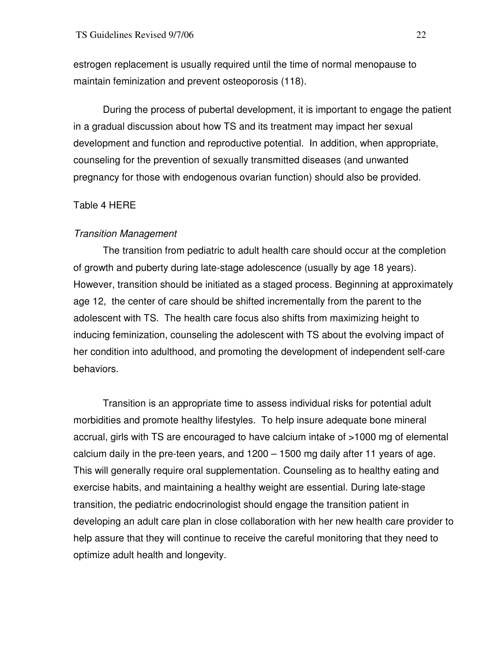estrogen replacement is usually required until the time of normal menopause to maintain feminization and prevent osteoporosis (118).

 During the process of pubertal development, it is important to engage the patient in a gradual discussion about how TS and its treatment may impact her sexual development and function and reproductive potential. In addition, when appropriate, counseling for the prevention of sexually transmitted diseases (and unwanted pregnancy for those with endogenous ovarian function) should also be provided.

# Table 4 HERE

## Transition Management

The transition from pediatric to adult health care should occur at the completion of growth and puberty during late-stage adolescence (usually by age 18 years). However, transition should be initiated as a staged process. Beginning at approximately age 12, the center of care should be shifted incrementally from the parent to the adolescent with TS. The health care focus also shifts from maximizing height to inducing feminization, counseling the adolescent with TS about the evolving impact of her condition into adulthood, and promoting the development of independent self-care behaviors.

 Transition is an appropriate time to assess individual risks for potential adult morbidities and promote healthy lifestyles. To help insure adequate bone mineral accrual, girls with TS are encouraged to have calcium intake of >1000 mg of elemental calcium daily in the pre-teen years, and 1200 – 1500 mg daily after 11 years of age. This will generally require oral supplementation. Counseling as to healthy eating and exercise habits, and maintaining a healthy weight are essential. During late-stage transition, the pediatric endocrinologist should engage the transition patient in developing an adult care plan in close collaboration with her new health care provider to help assure that they will continue to receive the careful monitoring that they need to optimize adult health and longevity.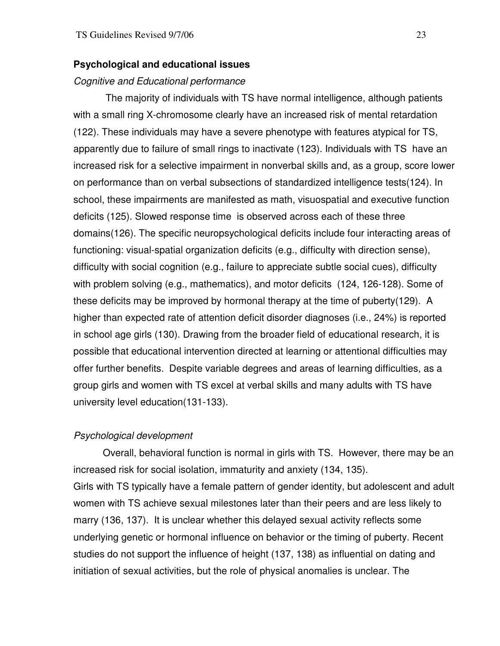## **Psychological and educational issues**

#### Cognitive and Educational performance

The majority of individuals with TS have normal intelligence, although patients with a small ring X-chromosome clearly have an increased risk of mental retardation (122). These individuals may have a severe phenotype with features atypical for TS, apparently due to failure of small rings to inactivate (123). Individuals with TS have an increased risk for a selective impairment in nonverbal skills and, as a group, score lower on performance than on verbal subsections of standardized intelligence tests(124). In school, these impairments are manifested as math, visuospatial and executive function deficits (125). Slowed response time is observed across each of these three domains(126). The specific neuropsychological deficits include four interacting areas of functioning: visual-spatial organization deficits (e.g., difficulty with direction sense), difficulty with social cognition (e.g., failure to appreciate subtle social cues), difficulty with problem solving (e.g., mathematics), and motor deficits (124, 126-128). Some of these deficits may be improved by hormonal therapy at the time of puberty(129). A higher than expected rate of attention deficit disorder diagnoses (i.e., 24%) is reported in school age girls (130). Drawing from the broader field of educational research, it is possible that educational intervention directed at learning or attentional difficulties may offer further benefits. Despite variable degrees and areas of learning difficulties, as a group girls and women with TS excel at verbal skills and many adults with TS have university level education(131-133).

## Psychological development

 Overall, behavioral function is normal in girls with TS. However, there may be an increased risk for social isolation, immaturity and anxiety (134, 135). Girls with TS typically have a female pattern of gender identity, but adolescent and adult women with TS achieve sexual milestones later than their peers and are less likely to marry (136, 137). It is unclear whether this delayed sexual activity reflects some underlying genetic or hormonal influence on behavior or the timing of puberty. Recent studies do not support the influence of height (137, 138) as influential on dating and initiation of sexual activities, but the role of physical anomalies is unclear. The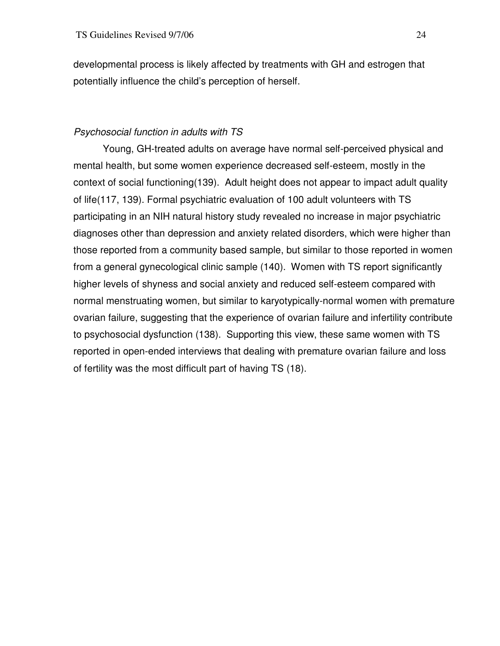developmental process is likely affected by treatments with GH and estrogen that potentially influence the child's perception of herself.

# Psychosocial function in adults with TS

Young, GH-treated adults on average have normal self-perceived physical and mental health, but some women experience decreased self-esteem, mostly in the context of social functioning(139). Adult height does not appear to impact adult quality of life(117, 139). Formal psychiatric evaluation of 100 adult volunteers with TS participating in an NIH natural history study revealed no increase in major psychiatric diagnoses other than depression and anxiety related disorders, which were higher than those reported from a community based sample, but similar to those reported in women from a general gynecological clinic sample (140). Women with TS report significantly higher levels of shyness and social anxiety and reduced self-esteem compared with normal menstruating women, but similar to karyotypically-normal women with premature ovarian failure, suggesting that the experience of ovarian failure and infertility contribute to psychosocial dysfunction (138). Supporting this view, these same women with TS reported in open-ended interviews that dealing with premature ovarian failure and loss of fertility was the most difficult part of having TS (18).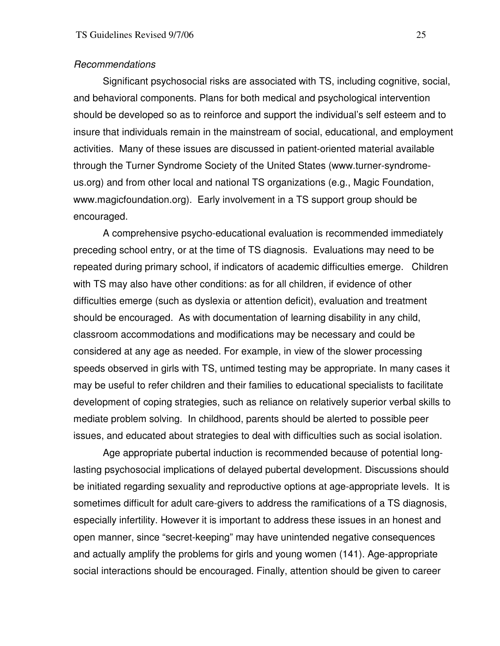#### Recommendations

 Significant psychosocial risks are associated with TS, including cognitive, social, and behavioral components. Plans for both medical and psychological intervention should be developed so as to reinforce and support the individual's self esteem and to insure that individuals remain in the mainstream of social, educational, and employment activities. Many of these issues are discussed in patient-oriented material available through the Turner Syndrome Society of the United States (www.turner-syndromeus.org) and from other local and national TS organizations (e.g., Magic Foundation, www.magicfoundation.org). Early involvement in a TS support group should be encouraged.

A comprehensive psycho-educational evaluation is recommended immediately preceding school entry, or at the time of TS diagnosis. Evaluations may need to be repeated during primary school, if indicators of academic difficulties emerge. Children with TS may also have other conditions: as for all children, if evidence of other difficulties emerge (such as dyslexia or attention deficit), evaluation and treatment should be encouraged. As with documentation of learning disability in any child, classroom accommodations and modifications may be necessary and could be considered at any age as needed. For example, in view of the slower processing speeds observed in girls with TS, untimed testing may be appropriate. In many cases it may be useful to refer children and their families to educational specialists to facilitate development of coping strategies, such as reliance on relatively superior verbal skills to mediate problem solving. In childhood, parents should be alerted to possible peer issues, and educated about strategies to deal with difficulties such as social isolation.

Age appropriate pubertal induction is recommended because of potential longlasting psychosocial implications of delayed pubertal development. Discussions should be initiated regarding sexuality and reproductive options at age-appropriate levels. It is sometimes difficult for adult care-givers to address the ramifications of a TS diagnosis, especially infertility. However it is important to address these issues in an honest and open manner, since "secret-keeping" may have unintended negative consequences and actually amplify the problems for girls and young women (141). Age-appropriate social interactions should be encouraged. Finally, attention should be given to career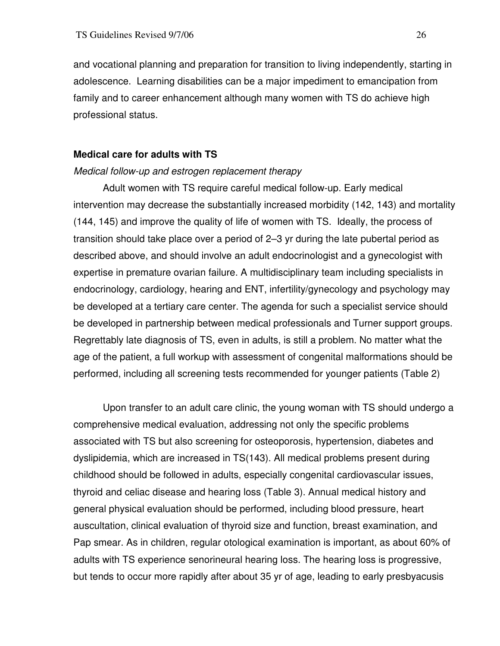and vocational planning and preparation for transition to living independently, starting in adolescence. Learning disabilities can be a major impediment to emancipation from family and to career enhancement although many women with TS do achieve high professional status.

## **Medical care for adults with TS**

#### Medical follow-up and estrogen replacement therapy

 Adult women with TS require careful medical follow-up. Early medical intervention may decrease the substantially increased morbidity (142, 143) and mortality (144, 145) and improve the quality of life of women with TS. Ideally, the process of transition should take place over a period of 2–3 yr during the late pubertal period as described above, and should involve an adult endocrinologist and a gynecologist with expertise in premature ovarian failure. A multidisciplinary team including specialists in endocrinology, cardiology, hearing and ENT, infertility/gynecology and psychology may be developed at a tertiary care center. The agenda for such a specialist service should be developed in partnership between medical professionals and Turner support groups. Regrettably late diagnosis of TS, even in adults, is still a problem. No matter what the age of the patient, a full workup with assessment of congenital malformations should be performed, including all screening tests recommended for younger patients (Table 2)

 Upon transfer to an adult care clinic, the young woman with TS should undergo a comprehensive medical evaluation, addressing not only the specific problems associated with TS but also screening for osteoporosis, hypertension, diabetes and dyslipidemia, which are increased in TS(143). All medical problems present during childhood should be followed in adults, especially congenital cardiovascular issues, thyroid and celiac disease and hearing loss (Table 3). Annual medical history and general physical evaluation should be performed, including blood pressure, heart auscultation, clinical evaluation of thyroid size and function, breast examination, and Pap smear. As in children, regular otological examination is important, as about 60% of adults with TS experience senorineural hearing loss. The hearing loss is progressive, but tends to occur more rapidly after about 35 yr of age, leading to early presbyacusis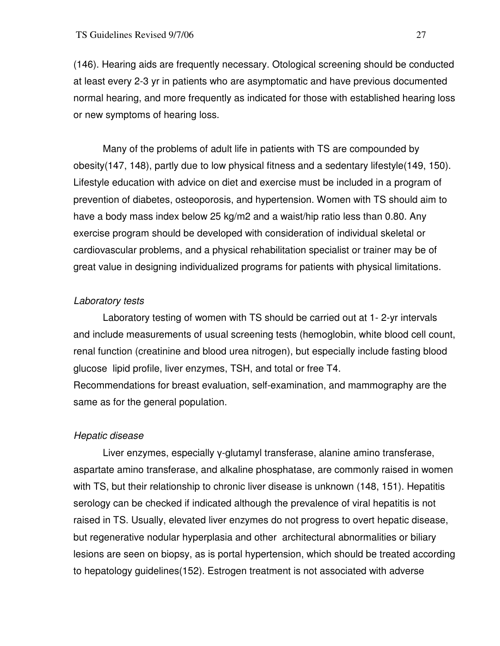(146). Hearing aids are frequently necessary. Otological screening should be conducted at least every 2-3 yr in patients who are asymptomatic and have previous documented normal hearing, and more frequently as indicated for those with established hearing loss or new symptoms of hearing loss.

 Many of the problems of adult life in patients with TS are compounded by obesity(147, 148), partly due to low physical fitness and a sedentary lifestyle(149, 150). Lifestyle education with advice on diet and exercise must be included in a program of prevention of diabetes, osteoporosis, and hypertension. Women with TS should aim to have a body mass index below 25 kg/m2 and a waist/hip ratio less than 0.80. Any exercise program should be developed with consideration of individual skeletal or cardiovascular problems, and a physical rehabilitation specialist or trainer may be of great value in designing individualized programs for patients with physical limitations.

# Laboratory tests

 Laboratory testing of women with TS should be carried out at 1- 2-yr intervals and include measurements of usual screening tests (hemoglobin, white blood cell count, renal function (creatinine and blood urea nitrogen), but especially include fasting blood glucose lipid profile, liver enzymes, TSH, and total or free T4. Recommendations for breast evaluation, self-examination, and mammography are the same as for the general population.

# Hepatic disease

 Liver enzymes, especially γ-glutamyl transferase, alanine amino transferase, aspartate amino transferase, and alkaline phosphatase, are commonly raised in women with TS, but their relationship to chronic liver disease is unknown (148, 151). Hepatitis serology can be checked if indicated although the prevalence of viral hepatitis is not raised in TS. Usually, elevated liver enzymes do not progress to overt hepatic disease, but regenerative nodular hyperplasia and other architectural abnormalities or biliary lesions are seen on biopsy, as is portal hypertension, which should be treated according to hepatology guidelines(152). Estrogen treatment is not associated with adverse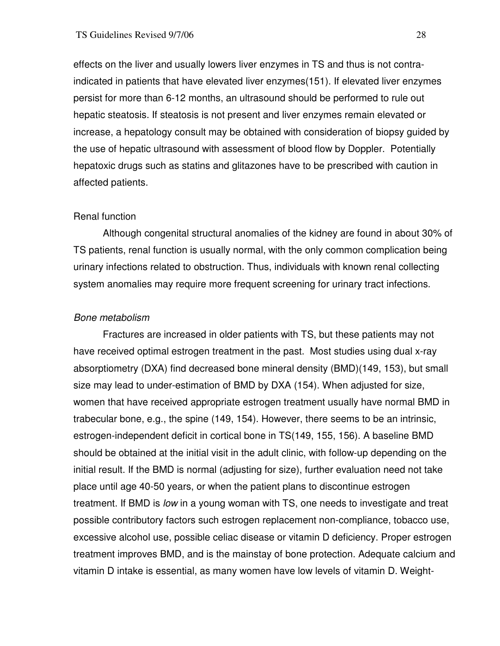effects on the liver and usually lowers liver enzymes in TS and thus is not contraindicated in patients that have elevated liver enzymes(151). If elevated liver enzymes persist for more than 6-12 months, an ultrasound should be performed to rule out hepatic steatosis. If steatosis is not present and liver enzymes remain elevated or increase, a hepatology consult may be obtained with consideration of biopsy guided by the use of hepatic ultrasound with assessment of blood flow by Doppler. Potentially hepatoxic drugs such as statins and glitazones have to be prescribed with caution in affected patients.

## Renal function

 Although congenital structural anomalies of the kidney are found in about 30% of TS patients, renal function is usually normal, with the only common complication being urinary infections related to obstruction. Thus, individuals with known renal collecting system anomalies may require more frequent screening for urinary tract infections.

#### Bone metabolism

 Fractures are increased in older patients with TS, but these patients may not have received optimal estrogen treatment in the past. Most studies using dual x-ray absorptiometry (DXA) find decreased bone mineral density (BMD)(149, 153), but small size may lead to under-estimation of BMD by DXA (154). When adjusted for size, women that have received appropriate estrogen treatment usually have normal BMD in trabecular bone, e.g., the spine (149, 154). However, there seems to be an intrinsic, estrogen-independent deficit in cortical bone in TS(149, 155, 156). A baseline BMD should be obtained at the initial visit in the adult clinic, with follow-up depending on the initial result. If the BMD is normal (adjusting for size), further evaluation need not take place until age 40-50 years, or when the patient plans to discontinue estrogen treatment. If BMD is *low* in a young woman with TS, one needs to investigate and treat possible contributory factors such estrogen replacement non-compliance, tobacco use, excessive alcohol use, possible celiac disease or vitamin D deficiency. Proper estrogen treatment improves BMD, and is the mainstay of bone protection. Adequate calcium and vitamin D intake is essential, as many women have low levels of vitamin D. Weight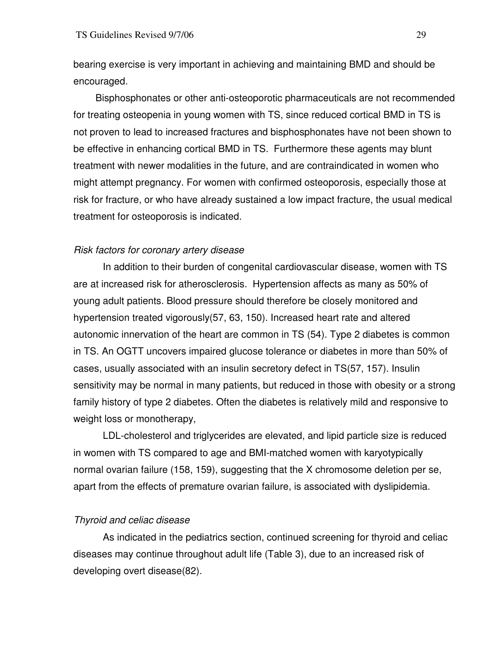bearing exercise is very important in achieving and maintaining BMD and should be encouraged.

Bisphosphonates or other anti-osteoporotic pharmaceuticals are not recommended for treating osteopenia in young women with TS, since reduced cortical BMD in TS is not proven to lead to increased fractures and bisphosphonates have not been shown to be effective in enhancing cortical BMD in TS. Furthermore these agents may blunt treatment with newer modalities in the future, and are contraindicated in women who might attempt pregnancy. For women with confirmed osteoporosis, especially those at risk for fracture, or who have already sustained a low impact fracture, the usual medical treatment for osteoporosis is indicated.

## Risk factors for coronary artery disease

 In addition to their burden of congenital cardiovascular disease, women with TS are at increased risk for atherosclerosis. Hypertension affects as many as 50% of young adult patients. Blood pressure should therefore be closely monitored and hypertension treated vigorously(57, 63, 150). Increased heart rate and altered autonomic innervation of the heart are common in TS (54). Type 2 diabetes is common in TS. An OGTT uncovers impaired glucose tolerance or diabetes in more than 50% of cases, usually associated with an insulin secretory defect in TS(57, 157). Insulin sensitivity may be normal in many patients, but reduced in those with obesity or a strong family history of type 2 diabetes. Often the diabetes is relatively mild and responsive to weight loss or monotherapy,

 LDL-cholesterol and triglycerides are elevated, and lipid particle size is reduced in women with TS compared to age and BMI-matched women with karyotypically normal ovarian failure (158, 159), suggesting that the X chromosome deletion per se, apart from the effects of premature ovarian failure, is associated with dyslipidemia.

## Thyroid and celiac disease

 As indicated in the pediatrics section, continued screening for thyroid and celiac diseases may continue throughout adult life (Table 3), due to an increased risk of developing overt disease(82).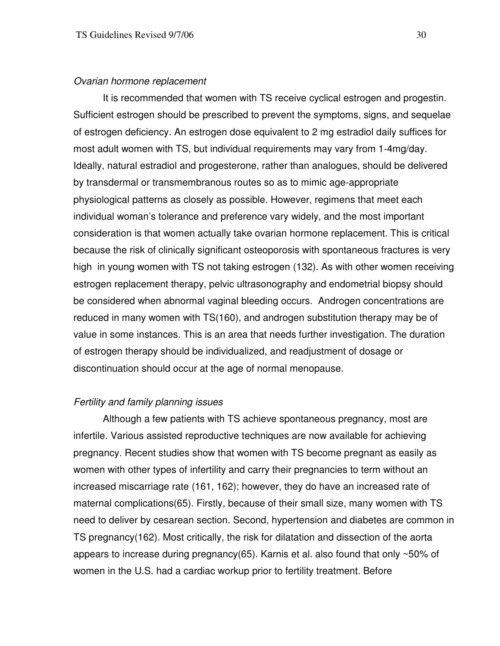#### Ovarian hormone replacement

 It is recommended that women with TS receive cyclical estrogen and progestin. Sufficient estrogen should be prescribed to prevent the symptoms, signs, and sequelae of estrogen deficiency. An estrogen dose equivalent to 2 mg estradiol daily suffices for most adult women with TS, but individual requirements may vary from 1-4mg/day. Ideally, natural estradiol and progesterone, rather than analogues, should be delivered by transdermal or transmembranous routes so as to mimic age-appropriate physiological patterns as closely as possible. However, regimens that meet each individual woman's tolerance and preference vary widely, and the most important consideration is that women actually take ovarian hormone replacement. This is critical because the risk of clinically significant osteoporosis with spontaneous fractures is very high in young women with TS not taking estrogen (132). As with other women receiving estrogen replacement therapy, pelvic ultrasonography and endometrial biopsy should be considered when abnormal vaginal bleeding occurs. Androgen concentrations are reduced in many women with TS(160), and androgen substitution therapy may be of value in some instances. This is an area that needs further investigation. The duration of estrogen therapy should be individualized, and readjustment of dosage or discontinuation should occur at the age of normal menopause.

## Fertility and family planning issues

 Although a few patients with TS achieve spontaneous pregnancy, most are infertile. Various assisted reproductive techniques are now available for achieving pregnancy. Recent studies show that women with TS become pregnant as easily as women with other types of infertility and carry their pregnancies to term without an increased miscarriage rate (161, 162); however, they do have an increased rate of maternal complications(65). Firstly, because of their small size, many women with TS need to deliver by cesarean section. Second, hypertension and diabetes are common in TS pregnancy(162). Most critically, the risk for dilatation and dissection of the aorta appears to increase during pregnancy(65). Karnis et al. also found that only ~50% of women in the U.S. had a cardiac workup prior to fertility treatment. Before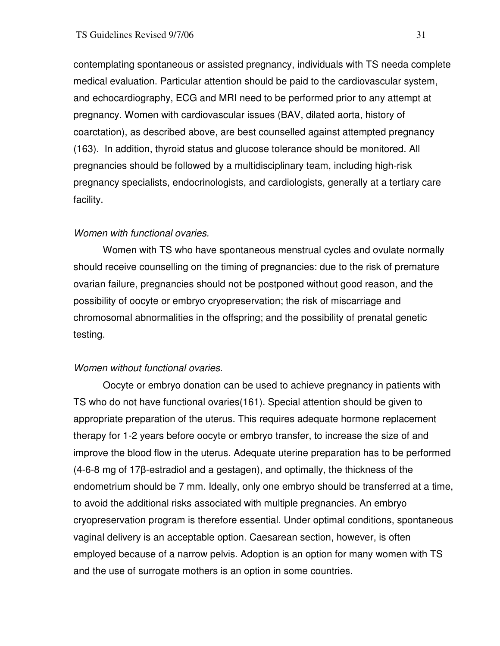contemplating spontaneous or assisted pregnancy, individuals with TS needa complete medical evaluation. Particular attention should be paid to the cardiovascular system, and echocardiography, ECG and MRI need to be performed prior to any attempt at pregnancy. Women with cardiovascular issues (BAV, dilated aorta, history of coarctation), as described above, are best counselled against attempted pregnancy (163). In addition, thyroid status and glucose tolerance should be monitored. All pregnancies should be followed by a multidisciplinary team, including high-risk pregnancy specialists, endocrinologists, and cardiologists, generally at a tertiary care facility.

# Women with functional ovaries.

 Women with TS who have spontaneous menstrual cycles and ovulate normally should receive counselling on the timing of pregnancies: due to the risk of premature ovarian failure, pregnancies should not be postponed without good reason, and the possibility of oocyte or embryo cryopreservation; the risk of miscarriage and chromosomal abnormalities in the offspring; and the possibility of prenatal genetic testing.

## Women without functional ovaries.

 Oocyte or embryo donation can be used to achieve pregnancy in patients with TS who do not have functional ovaries(161). Special attention should be given to appropriate preparation of the uterus. This requires adequate hormone replacement therapy for 1-2 years before oocyte or embryo transfer, to increase the size of and improve the blood flow in the uterus. Adequate uterine preparation has to be performed (4-6-8 mg of 17β-estradiol and a gestagen), and optimally, the thickness of the endometrium should be 7 mm. Ideally, only one embryo should be transferred at a time, to avoid the additional risks associated with multiple pregnancies. An embryo cryopreservation program is therefore essential. Under optimal conditions, spontaneous vaginal delivery is an acceptable option. Caesarean section, however, is often employed because of a narrow pelvis. Adoption is an option for many women with TS and the use of surrogate mothers is an option in some countries.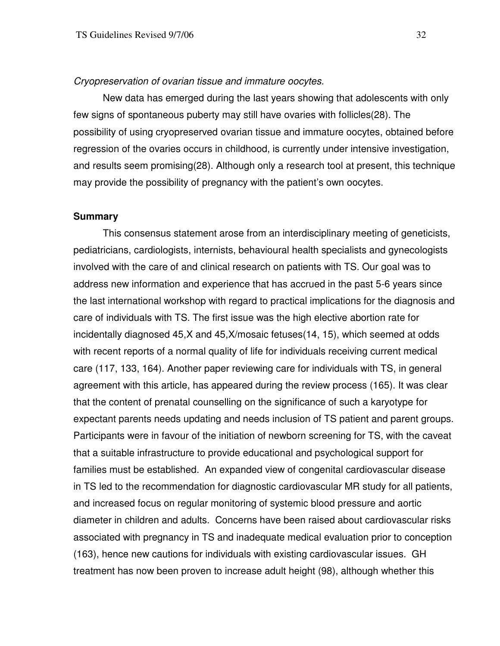#### Cryopreservation of ovarian tissue and immature oocytes.

 New data has emerged during the last years showing that adolescents with only few signs of spontaneous puberty may still have ovaries with follicles(28). The possibility of using cryopreserved ovarian tissue and immature oocytes, obtained before regression of the ovaries occurs in childhood, is currently under intensive investigation, and results seem promising(28). Although only a research tool at present, this technique may provide the possibility of pregnancy with the patient's own oocytes.

## **Summary**

 This consensus statement arose from an interdisciplinary meeting of geneticists, pediatricians, cardiologists, internists, behavioural health specialists and gynecologists involved with the care of and clinical research on patients with TS. Our goal was to address new information and experience that has accrued in the past 5-6 years since the last international workshop with regard to practical implications for the diagnosis and care of individuals with TS. The first issue was the high elective abortion rate for incidentally diagnosed 45,X and 45,X/mosaic fetuses(14, 15), which seemed at odds with recent reports of a normal quality of life for individuals receiving current medical care (117, 133, 164). Another paper reviewing care for individuals with TS, in general agreement with this article, has appeared during the review process (165). It was clear that the content of prenatal counselling on the significance of such a karyotype for expectant parents needs updating and needs inclusion of TS patient and parent groups. Participants were in favour of the initiation of newborn screening for TS, with the caveat that a suitable infrastructure to provide educational and psychological support for families must be established. An expanded view of congenital cardiovascular disease in TS led to the recommendation for diagnostic cardiovascular MR study for all patients, and increased focus on regular monitoring of systemic blood pressure and aortic diameter in children and adults. Concerns have been raised about cardiovascular risks associated with pregnancy in TS and inadequate medical evaluation prior to conception (163), hence new cautions for individuals with existing cardiovascular issues. GH treatment has now been proven to increase adult height (98), although whether this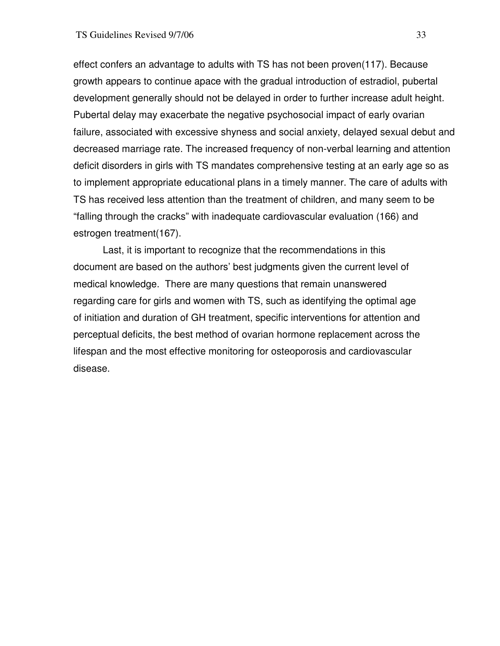effect confers an advantage to adults with TS has not been proven(117). Because growth appears to continue apace with the gradual introduction of estradiol, pubertal development generally should not be delayed in order to further increase adult height. Pubertal delay may exacerbate the negative psychosocial impact of early ovarian failure, associated with excessive shyness and social anxiety, delayed sexual debut and decreased marriage rate. The increased frequency of non-verbal learning and attention deficit disorders in girls with TS mandates comprehensive testing at an early age so as to implement appropriate educational plans in a timely manner. The care of adults with TS has received less attention than the treatment of children, and many seem to be "falling through the cracks" with inadequate cardiovascular evaluation (166) and estrogen treatment(167).

 Last, it is important to recognize that the recommendations in this document are based on the authors' best judgments given the current level of medical knowledge. There are many questions that remain unanswered regarding care for girls and women with TS, such as identifying the optimal age of initiation and duration of GH treatment, specific interventions for attention and perceptual deficits, the best method of ovarian hormone replacement across the lifespan and the most effective monitoring for osteoporosis and cardiovascular disease.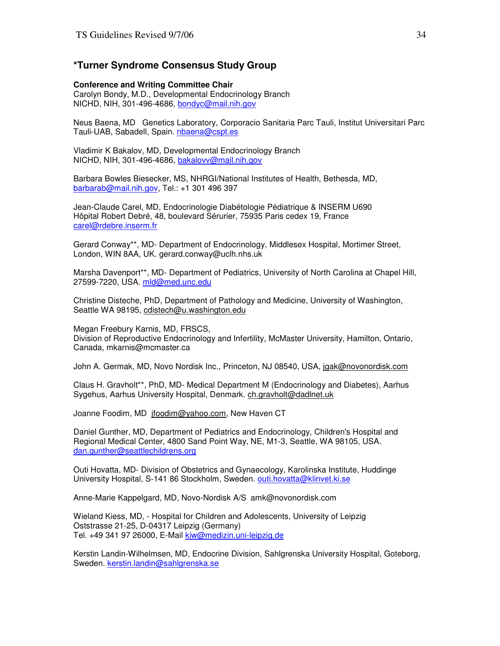#### **\*Turner Syndrome Consensus Study Group**

#### **Conference and Writing Committee Chair**

Carolyn Bondy, M.D., Developmental Endocrinology Branch NICHD, NIH, 301-496-4686, bondyc@mail.nih.gov

Neus Baena, MD Genetics Laboratory, Corporacio Sanitaria Parc Tauli, Institut Universitari Parc Tauli-UAB, Sabadell, Spain. nbaena@cspt.es

Vladimir K Bakalov, MD, Developmental Endocrinology Branch NICHD, NIH, 301-496-4686, bakalovv@mail.nih.gov

Barbara Bowles Biesecker, MS, NHRGI/National Institutes of Health, Bethesda, MD, barbarab@mail.nih.gov, Tel.: +1 301 496 397

Jean-Claude Carel, MD, Endocrinologie Diabétologie Pédiatrique & INSERM U690 Hôpital Robert Debré, 48, boulevard Sérurier, 75935 Paris cedex 19, France carel@rdebre.inserm.fr

Gerard Conway\*\*, MD- Department of Endocrinology, Middlesex Hospital, Mortimer Street, London, WIN 8AA, UK. gerard.conway@uclh.nhs.uk

Marsha Davenport\*\*, MD- Department of Pediatrics, University of North Carolina at Chapel Hill, 27599-7220, USA. mld@med.unc.edu

Christine Disteche, PhD, Department of Pathology and Medicine, University of Washington, Seattle WA 98195, cdistech@u.washington.edu

Megan Freebury Karnis, MD, FRSCS, Division of Reproductive Endocrinology and Infertility, McMaster University, Hamilton, Ontario, Canada, mkarnis@mcmaster.ca

John A. Germak, MD, Novo Nordisk Inc., Princeton, NJ 08540, USA, jgak@novonordisk.com

Claus H. Gravholt\*\*, PhD, MD- Medical Department M (Endocrinology and Diabetes), Aarhus Sygehus, Aarhus University Hospital, Denmark. ch.gravholt@dadlnet.uk

Joanne Foodim, MD jfoodim@yahoo.com, New Haven CT

Daniel Gunther, MD, Department of Pediatrics and Endocrinology, Children's Hospital and Regional Medical Center, 4800 Sand Point Way, NE, M1-3, Seattle, WA 98105, USA. dan.gunther@seattlechildrens.org

Outi Hovatta, MD- Division of Obstetrics and Gynaecology, Karolinska Institute, Huddinge University Hospital, S-141 86 Stockholm, Sweden. outi.hovatta@klinvet.ki.se

Anne-Marie Kappelgard, MD, Novo-Nordisk A/S amk@novonordisk.com

Wieland Kiess, MD, - Hospital for Children and Adolescents, University of Leipzig Oststrasse 21-25, D-04317 Leipzig (Germany) Tel. +49 341 97 26000, E-Mail kiw@medizin.uni-leipzig.de

Kerstin Landin-Wilhelmsen, MD, Endocrine Division, Sahlgrenska University Hospital, Goteborg, Sweden. kerstin.landin@sahlgrenska.se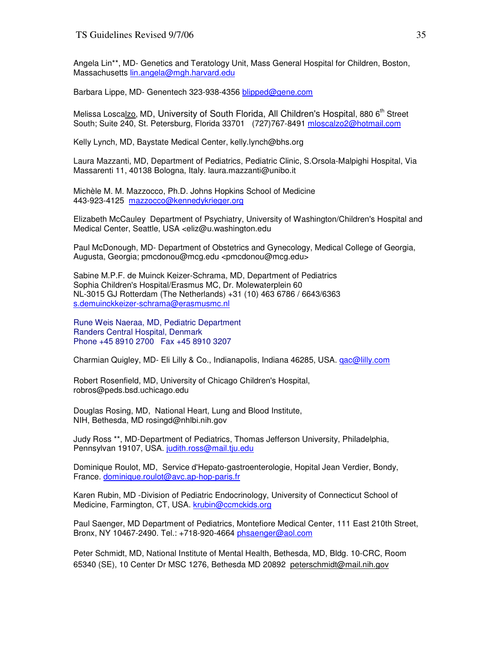Angela Lin\*\*, MD- Genetics and Teratology Unit, Mass General Hospital for Children, Boston, Massachusetts lin.angela@mgh.harvard.edu

Barbara Lippe, MD- Genentech 323-938-4356 blipped@gene.com

Melissa Loscalzo, MD, University of South Florida, All Children's Hospital, 880 6<sup>th</sup> Street South; Suite 240, St. Petersburg, Florida 33701 (727)767-8491 mloscalzo2@hotmail.com

Kelly Lynch, MD, Baystate Medical Center, kelly.lynch@bhs.org

Laura Mazzanti, MD, Department of Pediatrics, Pediatric Clinic, S.Orsola-Malpighi Hospital, Via Massarenti 11, 40138 Bologna, Italy. laura.mazzanti@unibo.it

Michèle M. M. Mazzocco, Ph.D. Johns Hopkins School of Medicine 443-923-4125 mazzocco@kennedykrieger.org

Elizabeth McCauley Department of Psychiatry, University of Washington/Children's Hospital and Medical Center, Seattle, USA <eliz@u.washington.edu

Paul McDonough, MD- Department of Obstetrics and Gynecology, Medical College of Georgia, Augusta, Georgia; pmcdonou@mcg.edu <pmcdonou@mcg.edu>

Sabine M.P.F. de Muinck Keizer-Schrama, MD, Department of Pediatrics Sophia Children's Hospital/Erasmus MC, Dr. Molewaterplein 60 NL-3015 GJ Rotterdam (The Netherlands) +31 (10) 463 6786 / 6643/6363 s.demuinckkeizer-schrama@erasmusmc.nl

Rune Weis Naeraa, MD, Pediatric Department Randers Central Hospital, Denmark Phone +45 8910 2700 Fax +45 8910 3207

Charmian Quigley, MD- Eli Lilly & Co., Indianapolis, Indiana 46285, USA. qac@lilly.com

Robert Rosenfield, MD, University of Chicago Children's Hospital, robros@peds.bsd.uchicago.edu

Douglas Rosing, MD, National Heart, Lung and Blood Institute, NIH, Bethesda, MD rosingd@nhlbi.nih.gov

Judy Ross \*\*, MD-Department of Pediatrics, Thomas Jefferson University, Philadelphia, Pennsylvan 19107, USA. judith.ross@mail.tju.edu

Dominique Roulot, MD, Service d'Hepato-gastroenterologie, Hopital Jean Verdier, Bondy, France. dominique.roulot@avc.ap-hop-paris.fr

Karen Rubin, MD -Division of Pediatric Endocrinology, University of Connecticut School of Medicine, Farmington, CT, USA. krubin@ccmckids.org

Paul Saenger, MD Department of Pediatrics, Montefiore Medical Center, 111 East 210th Street, Bronx, NY 10467-2490. Tel.: +718-920-4664 phsaenger@aol.com

Peter Schmidt, MD, National Institute of Mental Health, Bethesda, MD, Bldg. 10-CRC, Room 65340 (SE), 10 Center Dr MSC 1276, Bethesda MD 20892 peterschmidt@mail.nih.gov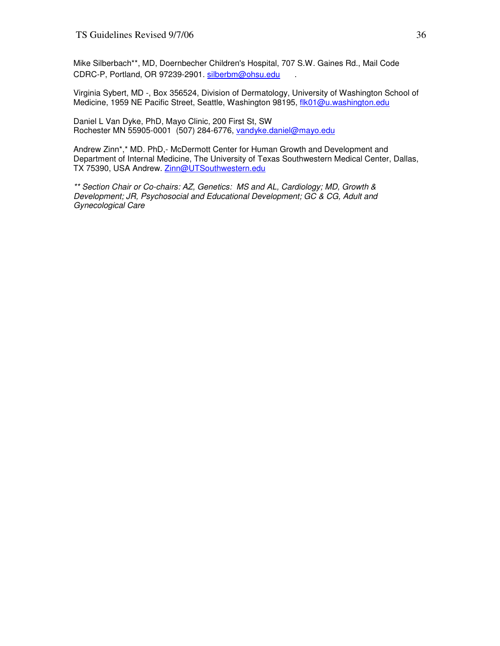Mike Silberbach\*\*, MD, Doernbecher Children's Hospital, 707 S.W. Gaines Rd., Mail Code CDRC-P, Portland, OR 97239-2901. silberbm@ohsu.edu .

Virginia Sybert, MD -, Box 356524, Division of Dermatology, University of Washington School of Medicine, 1959 NE Pacific Street, Seattle, Washington 98195, flk01@u.washington.edu

Daniel L Van Dyke, PhD, Mayo Clinic, 200 First St, SW Rochester MN 55905-0001 (507) 284-6776, vandyke.daniel@mayo.edu

Andrew Zinn\*,\* MD. PhD,- McDermott Center for Human Growth and Development and Department of Internal Medicine, The University of Texas Southwestern Medical Center, Dallas, TX 75390, USA Andrew. Zinn@UTSouthwestern.edu

\*\* Section Chair or Co-chairs: AZ, Genetics: MS and AL, Cardiology; MD, Growth & Development; JR, Psychosocial and Educational Development; GC & CG, Adult and Gynecological Care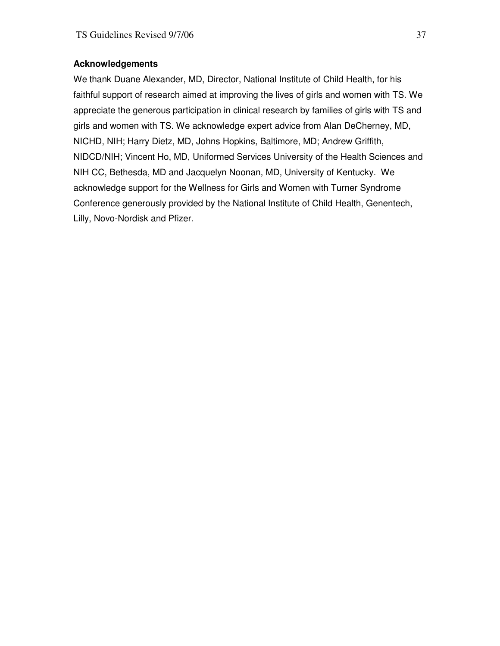## **Acknowledgements**

We thank Duane Alexander, MD, Director, National Institute of Child Health, for his faithful support of research aimed at improving the lives of girls and women with TS. We appreciate the generous participation in clinical research by families of girls with TS and girls and women with TS. We acknowledge expert advice from Alan DeCherney, MD, NICHD, NIH; Harry Dietz, MD, Johns Hopkins, Baltimore, MD; Andrew Griffith, NIDCD/NIH; Vincent Ho, MD, Uniformed Services University of the Health Sciences and NIH CC, Bethesda, MD and Jacquelyn Noonan, MD, University of Kentucky. We acknowledge support for the Wellness for Girls and Women with Turner Syndrome Conference generously provided by the National Institute of Child Health, Genentech, Lilly, Novo-Nordisk and Pfizer.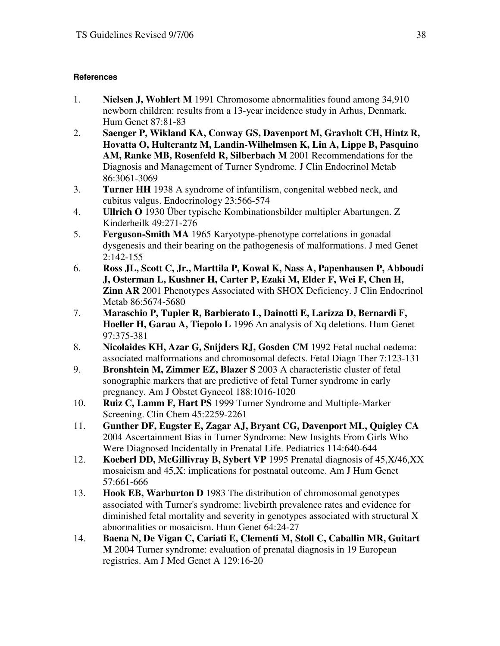## **References**

- 1. **Nielsen J, Wohlert M** 1991 Chromosome abnormalities found among 34,910 newborn children: results from a 13-year incidence study in Arhus, Denmark. Hum Genet 87:81-83
- 2. **Saenger P, Wikland KA, Conway GS, Davenport M, Gravholt CH, Hintz R, Hovatta O, Hultcrantz M, Landin-Wilhelmsen K, Lin A, Lippe B, Pasquino AM, Ranke MB, Rosenfeld R, Silberbach M** 2001 Recommendations for the Diagnosis and Management of Turner Syndrome. J Clin Endocrinol Metab 86:3061-3069
- 3. **Turner HH** 1938 A syndrome of infantilism, congenital webbed neck, and cubitus valgus. Endocrinology 23:566-574
- 4. **Ullrich O** 1930 Über typische Kombinationsbilder multipler Abartungen. Z Kinderheilk 49:271-276
- 5. **Ferguson-Smith MA** 1965 Karyotype-phenotype correlations in gonadal dysgenesis and their bearing on the pathogenesis of malformations. J med Genet 2:142-155
- 6. **Ross JL, Scott C, Jr., Marttila P, Kowal K, Nass A, Papenhausen P, Abboudi J, Osterman L, Kushner H, Carter P, Ezaki M, Elder F, Wei F, Chen H, Zinn AR** 2001 Phenotypes Associated with SHOX Deficiency. J Clin Endocrinol Metab 86:5674-5680
- 7. **Maraschio P, Tupler R, Barbierato L, Dainotti E, Larizza D, Bernardi F, Hoeller H, Garau A, Tiepolo L** 1996 An analysis of Xq deletions. Hum Genet 97:375-381
- 8. **Nicolaides KH, Azar G, Snijders RJ, Gosden CM** 1992 Fetal nuchal oedema: associated malformations and chromosomal defects. Fetal Diagn Ther 7:123-131
- 9. **Bronshtein M, Zimmer EZ, Blazer S** 2003 A characteristic cluster of fetal sonographic markers that are predictive of fetal Turner syndrome in early pregnancy. Am J Obstet Gynecol 188:1016-1020
- 10. **Ruiz C, Lamm F, Hart PS** 1999 Turner Syndrome and Multiple-Marker Screening. Clin Chem 45:2259-2261
- 11. **Gunther DF, Eugster E, Zagar AJ, Bryant CG, Davenport ML, Quigley CA** 2004 Ascertainment Bias in Turner Syndrome: New Insights From Girls Who Were Diagnosed Incidentally in Prenatal Life. Pediatrics 114:640-644
- 12. **Koeberl DD, McGillivray B, Sybert VP** 1995 Prenatal diagnosis of 45,X/46,XX mosaicism and 45,X: implications for postnatal outcome. Am J Hum Genet 57:661-666
- 13. **Hook EB, Warburton D** 1983 The distribution of chromosomal genotypes associated with Turner's syndrome: livebirth prevalence rates and evidence for diminished fetal mortality and severity in genotypes associated with structural X abnormalities or mosaicism. Hum Genet 64:24-27
- 14. **Baena N, De Vigan C, Cariati E, Clementi M, Stoll C, Caballin MR, Guitart M** 2004 Turner syndrome: evaluation of prenatal diagnosis in 19 European registries. Am J Med Genet A 129:16-20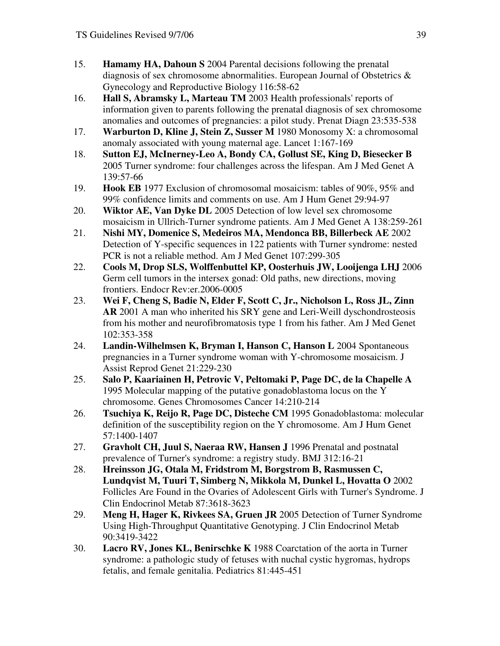- 15. **Hamamy HA, Dahoun S** 2004 Parental decisions following the prenatal diagnosis of sex chromosome abnormalities. European Journal of Obstetrics  $\&$ Gynecology and Reproductive Biology 116:58-62
- 16. **Hall S, Abramsky L, Marteau TM** 2003 Health professionals' reports of information given to parents following the prenatal diagnosis of sex chromosome anomalies and outcomes of pregnancies: a pilot study. Prenat Diagn 23:535-538
- 17. **Warburton D, Kline J, Stein Z, Susser M** 1980 Monosomy X: a chromosomal anomaly associated with young maternal age. Lancet 1:167-169
- 18. **Sutton EJ, McInerney-Leo A, Bondy CA, Gollust SE, King D, Biesecker B** 2005 Turner syndrome: four challenges across the lifespan. Am J Med Genet A 139:57-66
- 19. **Hook EB** 1977 Exclusion of chromosomal mosaicism: tables of 90%, 95% and 99% confidence limits and comments on use. Am J Hum Genet 29:94-97
- 20. **Wiktor AE, Van Dyke DL** 2005 Detection of low level sex chromosome mosaicism in Ullrich-Turner syndrome patients. Am J Med Genet A 138:259-261
- 21. **Nishi MY, Domenice S, Medeiros MA, Mendonca BB, Billerbeck AE** 2002 Detection of Y-specific sequences in 122 patients with Turner syndrome: nested PCR is not a reliable method. Am J Med Genet 107:299-305
- 22. **Cools M, Drop SLS, Wolffenbuttel KP, Oosterhuis JW, Looijenga LHJ** 2006 Germ cell tumors in the intersex gonad: Old paths, new directions, moving frontiers. Endocr Rev:er.2006-0005
- 23. **Wei F, Cheng S, Badie N, Elder F, Scott C, Jr., Nicholson L, Ross JL, Zinn AR** 2001 A man who inherited his SRY gene and Leri-Weill dyschondrosteosis from his mother and neurofibromatosis type 1 from his father. Am J Med Genet 102:353-358
- 24. **Landin-Wilhelmsen K, Bryman I, Hanson C, Hanson L** 2004 Spontaneous pregnancies in a Turner syndrome woman with Y-chromosome mosaicism. J Assist Reprod Genet 21:229-230
- 25. **Salo P, Kaariainen H, Petrovic V, Peltomaki P, Page DC, de la Chapelle A** 1995 Molecular mapping of the putative gonadoblastoma locus on the Y chromosome. Genes Chromosomes Cancer 14:210-214
- 26. **Tsuchiya K, Reijo R, Page DC, Disteche CM** 1995 Gonadoblastoma: molecular definition of the susceptibility region on the Y chromosome. Am J Hum Genet 57:1400-1407
- 27. **Gravholt CH, Juul S, Naeraa RW, Hansen J** 1996 Prenatal and postnatal prevalence of Turner's syndrome: a registry study. BMJ 312:16-21
- 28. **Hreinsson JG, Otala M, Fridstrom M, Borgstrom B, Rasmussen C, Lundqvist M, Tuuri T, Simberg N, Mikkola M, Dunkel L, Hovatta O** 2002 Follicles Are Found in the Ovaries of Adolescent Girls with Turner's Syndrome. J Clin Endocrinol Metab 87:3618-3623
- 29. **Meng H, Hager K, Rivkees SA, Gruen JR** 2005 Detection of Turner Syndrome Using High-Throughput Quantitative Genotyping. J Clin Endocrinol Metab 90:3419-3422
- 30. **Lacro RV, Jones KL, Benirschke K** 1988 Coarctation of the aorta in Turner syndrome: a pathologic study of fetuses with nuchal cystic hygromas, hydrops fetalis, and female genitalia. Pediatrics 81:445-451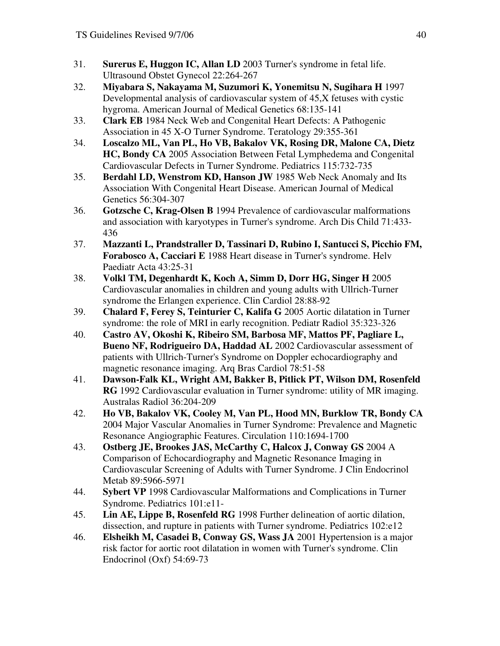- 31. **Surerus E, Huggon IC, Allan LD** 2003 Turner's syndrome in fetal life. Ultrasound Obstet Gynecol 22:264-267
- 32. **Miyabara S, Nakayama M, Suzumori K, Yonemitsu N, Sugihara H** 1997 Developmental analysis of cardiovascular system of 45,X fetuses with cystic hygroma. American Journal of Medical Genetics 68:135-141
- 33. **Clark EB** 1984 Neck Web and Congenital Heart Defects: A Pathogenic Association in 45 X-O Turner Syndrome. Teratology 29:355-361
- 34. **Loscalzo ML, Van PL, Ho VB, Bakalov VK, Rosing DR, Malone CA, Dietz HC, Bondy CA** 2005 Association Between Fetal Lymphedema and Congenital Cardiovascular Defects in Turner Syndrome. Pediatrics 115:732-735
- 35. **Berdahl LD, Wenstrom KD, Hanson JW** 1985 Web Neck Anomaly and Its Association With Congenital Heart Disease. American Journal of Medical Genetics 56:304-307
- 36. **Gotzsche C, Krag-Olsen B** 1994 Prevalence of cardiovascular malformations and association with karyotypes in Turner's syndrome. Arch Dis Child 71:433- 436
- 37. **Mazzanti L, Prandstraller D, Tassinari D, Rubino I, Santucci S, Picchio FM, Forabosco A, Cacciari E** 1988 Heart disease in Turner's syndrome. Helv Paediatr Acta 43:25-31
- 38. **Volkl TM, Degenhardt K, Koch A, Simm D, Dorr HG, Singer H** 2005 Cardiovascular anomalies in children and young adults with Ullrich-Turner syndrome the Erlangen experience. Clin Cardiol 28:88-92
- 39. **Chalard F, Ferey S, Teinturier C, Kalifa G** 2005 Aortic dilatation in Turner syndrome: the role of MRI in early recognition. Pediatr Radiol 35:323-326
- 40. **Castro AV, Okoshi K, Ribeiro SM, Barbosa MF, Mattos PF, Pagliare L, Bueno NF, Rodrigueiro DA, Haddad AL** 2002 Cardiovascular assessment of patients with Ullrich-Turner's Syndrome on Doppler echocardiography and magnetic resonance imaging. Arq Bras Cardiol 78:51-58
- 41. **Dawson-Falk KL, Wright AM, Bakker B, Pitlick PT, Wilson DM, Rosenfeld RG** 1992 Cardiovascular evaluation in Turner syndrome: utility of MR imaging. Australas Radiol 36:204-209
- 42. **Ho VB, Bakalov VK, Cooley M, Van PL, Hood MN, Burklow TR, Bondy CA** 2004 Major Vascular Anomalies in Turner Syndrome: Prevalence and Magnetic Resonance Angiographic Features. Circulation 110:1694-1700
- 43. **Ostberg JE, Brookes JAS, McCarthy C, Halcox J, Conway GS** 2004 A Comparison of Echocardiography and Magnetic Resonance Imaging in Cardiovascular Screening of Adults with Turner Syndrome. J Clin Endocrinol Metab 89:5966-5971
- 44. **Sybert VP** 1998 Cardiovascular Malformations and Complications in Turner Syndrome. Pediatrics 101:e11-
- 45. **Lin AE, Lippe B, Rosenfeld RG** 1998 Further delineation of aortic dilation, dissection, and rupture in patients with Turner syndrome. Pediatrics 102:e12
- 46. **Elsheikh M, Casadei B, Conway GS, Wass JA** 2001 Hypertension is a major risk factor for aortic root dilatation in women with Turner's syndrome. Clin Endocrinol (Oxf) 54:69-73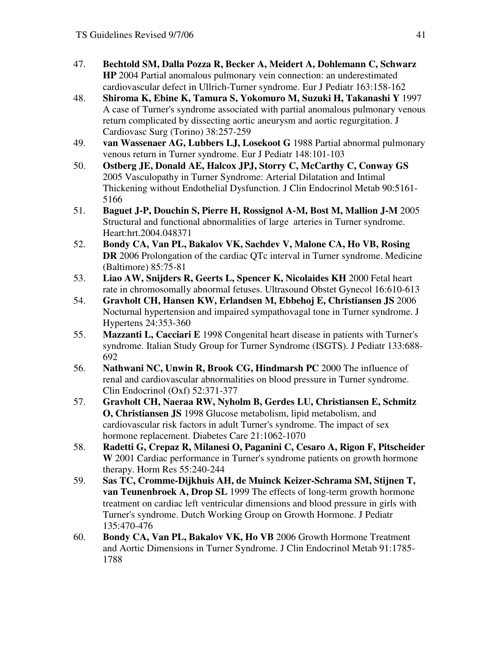- 47. **Bechtold SM, Dalla Pozza R, Becker A, Meidert A, Dohlemann C, Schwarz HP** 2004 Partial anomalous pulmonary vein connection: an underestimated cardiovascular defect in Ullrich-Turner syndrome. Eur J Pediatr 163:158-162
- 48. **Shiroma K, Ebine K, Tamura S, Yokomuro M, Suzuki H, Takanashi Y** 1997 A case of Turner's syndrome associated with partial anomalous pulmonary venous return complicated by dissecting aortic aneurysm and aortic regurgitation. J Cardiovasc Surg (Torino) 38:257-259
- 49. **van Wassenaer AG, Lubbers LJ, Losekoot G** 1988 Partial abnormal pulmonary venous return in Turner syndrome. Eur J Pediatr 148:101-103
- 50. **Ostberg JE, Donald AE, Halcox JPJ, Storry C, McCarthy C, Conway GS** 2005 Vasculopathy in Turner Syndrome: Arterial Dilatation and Intimal Thickening without Endothelial Dysfunction. J Clin Endocrinol Metab 90:5161- 5166
- 51. **Baguet J-P, Douchin S, Pierre H, Rossignol A-M, Bost M, Mallion J-M** 2005 Structural and functional abnormalities of large arteries in Turner syndrome. Heart:hrt.2004.048371
- 52. **Bondy CA, Van PL, Bakalov VK, Sachdev V, Malone CA, Ho VB, Rosing DR** 2006 Prolongation of the cardiac QTc interval in Turner syndrome. Medicine (Baltimore) 85:75-81
- 53. **Liao AW, Snijders R, Geerts L, Spencer K, Nicolaides KH** 2000 Fetal heart rate in chromosomally abnormal fetuses. Ultrasound Obstet Gynecol 16:610-613
- 54. **Gravholt CH, Hansen KW, Erlandsen M, Ebbehoj E, Christiansen JS** 2006 Nocturnal hypertension and impaired sympathovagal tone in Turner syndrome. J Hypertens 24:353-360
- 55. **Mazzanti L, Cacciari E** 1998 Congenital heart disease in patients with Turner's syndrome. Italian Study Group for Turner Syndrome (ISGTS). J Pediatr 133:688- 692
- 56. **Nathwani NC, Unwin R, Brook CG, Hindmarsh PC** 2000 The influence of renal and cardiovascular abnormalities on blood pressure in Turner syndrome. Clin Endocrinol (Oxf) 52:371-377
- 57. **Gravholt CH, Naeraa RW, Nyholm B, Gerdes LU, Christiansen E, Schmitz O, Christiansen JS** 1998 Glucose metabolism, lipid metabolism, and cardiovascular risk factors in adult Turner's syndrome. The impact of sex hormone replacement. Diabetes Care 21:1062-1070
- 58. **Radetti G, Crepaz R, Milanesi O, Paganini C, Cesaro A, Rigon F, Pitscheider W** 2001 Cardiac performance in Turner's syndrome patients on growth hormone therapy. Horm Res 55:240-244
- 59. **Sas TC, Cromme-Dijkhuis AH, de Muinck Keizer-Schrama SM, Stijnen T, van Teunenbroek A, Drop SL** 1999 The effects of long-term growth hormone treatment on cardiac left ventricular dimensions and blood pressure in girls with Turner's syndrome. Dutch Working Group on Growth Hormone. J Pediatr 135:470-476
- 60. **Bondy CA, Van PL, Bakalov VK, Ho VB** 2006 Growth Hormone Treatment and Aortic Dimensions in Turner Syndrome. J Clin Endocrinol Metab 91:1785- 1788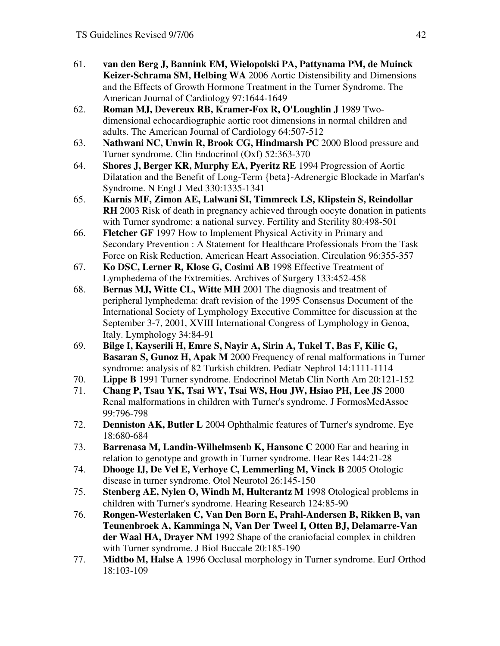- 61. **van den Berg J, Bannink EM, Wielopolski PA, Pattynama PM, de Muinck Keizer-Schrama SM, Helbing WA** 2006 Aortic Distensibility and Dimensions and the Effects of Growth Hormone Treatment in the Turner Syndrome. The American Journal of Cardiology 97:1644-1649
- 62. **Roman MJ, Devereux RB, Kramer-Fox R, O'Loughlin J** 1989 Twodimensional echocardiographic aortic root dimensions in normal children and adults. The American Journal of Cardiology 64:507-512
- 63. **Nathwani NC, Unwin R, Brook CG, Hindmarsh PC** 2000 Blood pressure and Turner syndrome. Clin Endocrinol (Oxf) 52:363-370
- 64. **Shores J, Berger KR, Murphy EA, Pyeritz RE** 1994 Progression of Aortic Dilatation and the Benefit of Long-Term {beta}-Adrenergic Blockade in Marfan's Syndrome. N Engl J Med 330:1335-1341
- 65. **Karnis MF, Zimon AE, Lalwani SI, Timmreck LS, Klipstein S, Reindollar RH** 2003 Risk of death in pregnancy achieved through oocyte donation in patients with Turner syndrome: a national survey. Fertility and Sterility 80:498-501
- 66. **Fletcher GF** 1997 How to Implement Physical Activity in Primary and Secondary Prevention : A Statement for Healthcare Professionals From the Task Force on Risk Reduction, American Heart Association. Circulation 96:355-357
- 67. **Ko DSC, Lerner R, Klose G, Cosimi AB** 1998 Effective Treatment of Lymphedema of the Extremities. Archives of Surgery 133:452-458
- 68. **Bernas MJ, Witte CL, Witte MH** 2001 The diagnosis and treatment of peripheral lymphedema: draft revision of the 1995 Consensus Document of the International Society of Lymphology Executive Committee for discussion at the September 3-7, 2001, XVIII International Congress of Lymphology in Genoa, Italy. Lymphology 34:84-91
- 69. **Bilge I, Kayserili H, Emre S, Nayir A, Sirin A, Tukel T, Bas F, Kilic G, Basaran S, Gunoz H, Apak M** 2000 Frequency of renal malformations in Turner syndrome: analysis of 82 Turkish children. Pediatr Nephrol 14:1111-1114
- 70. **Lippe B** 1991 Turner syndrome. Endocrinol Metab Clin North Am 20:121-152
- 71. **Chang P, Tsau YK, Tsai WY, Tsai WS, Hou JW, Hsiao PH, Lee JS** 2000 Renal malformations in children with Turner's syndrome. J FormosMedAssoc 99:796-798
- 72. **Denniston AK, Butler L** 2004 Ophthalmic features of Turner's syndrome. Eye 18:680-684
- 73. **Barrenasa M, Landin-Wilhelmsenb K, Hansonc C** 2000 Ear and hearing in relation to genotype and growth in Turner syndrome. Hear Res 144:21-28
- 74. **Dhooge IJ, De Vel E, Verhoye C, Lemmerling M, Vinck B** 2005 Otologic disease in turner syndrome. Otol Neurotol 26:145-150
- 75. **Stenberg AE, Nylen O, Windh M, Hultcrantz M** 1998 Otological problems in children with Turner's syndrome. Hearing Research 124:85-90
- 76. **Rongen-Westerlaken C, Van Den Born E, Prahl-Andersen B, Rikken B, van Teunenbroek A, Kamminga N, Van Der Tweel I, Otten BJ, Delamarre-Van der Waal HA, Drayer NM** 1992 Shape of the craniofacial complex in children with Turner syndrome. J Biol Buccale 20:185-190
- 77. **Midtbo M, Halse A** 1996 Occlusal morphology in Turner syndrome. EurJ Orthod 18:103-109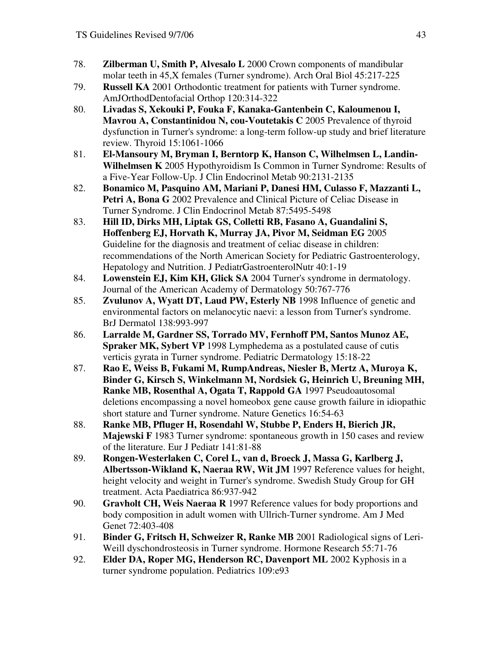- 78. **Zilberman U, Smith P, Alvesalo L** 2000 Crown components of mandibular molar teeth in 45,X females (Turner syndrome). Arch Oral Biol 45:217-225
- 79. **Russell KA** 2001 Orthodontic treatment for patients with Turner syndrome. AmJOrthodDentofacial Orthop 120:314-322
- 80. **Livadas S, Xekouki P, Fouka F, Kanaka-Gantenbein C, Kaloumenou I, Mavrou A, Constantinidou N, cou-Voutetakis C** 2005 Prevalence of thyroid dysfunction in Turner's syndrome: a long-term follow-up study and brief literature review. Thyroid 15:1061-1066
- 81. **El-Mansoury M, Bryman I, Berntorp K, Hanson C, Wilhelmsen L, Landin-Wilhelmsen K** 2005 Hypothyroidism Is Common in Turner Syndrome: Results of a Five-Year Follow-Up. J Clin Endocrinol Metab 90:2131-2135
- 82. **Bonamico M, Pasquino AM, Mariani P, Danesi HM, Culasso F, Mazzanti L, Petri A, Bona G** 2002 Prevalence and Clinical Picture of Celiac Disease in Turner Syndrome. J Clin Endocrinol Metab 87:5495-5498
- 83. **Hill ID, Dirks MH, Liptak GS, Colletti RB, Fasano A, Guandalini S, Hoffenberg EJ, Horvath K, Murray JA, Pivor M, Seidman EG** 2005 Guideline for the diagnosis and treatment of celiac disease in children: recommendations of the North American Society for Pediatric Gastroenterology, Hepatology and Nutrition. J PediatrGastroenterolNutr 40:1-19
- 84. **Lowenstein EJ, Kim KH, Glick SA** 2004 Turner's syndrome in dermatology. Journal of the American Academy of Dermatology 50:767-776
- 85. **Zvulunov A, Wyatt DT, Laud PW, Esterly NB** 1998 Influence of genetic and environmental factors on melanocytic naevi: a lesson from Turner's syndrome. BrJ Dermatol 138:993-997
- 86. **Larralde M, Gardner SS, Torrado MV, Fernhoff PM, Santos Munoz AE, Spraker MK, Sybert VP** 1998 Lymphedema as a postulated cause of cutis verticis gyrata in Turner syndrome. Pediatric Dermatology 15:18-22
- 87. **Rao E, Weiss B, Fukami M, RumpAndreas, Niesler B, Mertz A, Muroya K, Binder G, Kirsch S, Winkelmann M, Nordsiek G, Heinrich U, Breuning MH, Ranke MB, Rosenthal A, Ogata T, Rappold GA** 1997 Pseudoautosomal deletions encompassing a novel homeobox gene cause growth failure in idiopathic short stature and Turner syndrome. Nature Genetics 16:54-63
- 88. **Ranke MB, Pfluger H, Rosendahl W, Stubbe P, Enders H, Bierich JR, Majewski F** 1983 Turner syndrome: spontaneous growth in 150 cases and review of the literature. Eur J Pediatr 141:81-88
- 89. **Rongen-Westerlaken C, Corel L, van d, Broeck J, Massa G, Karlberg J, Albertsson-Wikland K, Naeraa RW, Wit JM** 1997 Reference values for height, height velocity and weight in Turner's syndrome. Swedish Study Group for GH treatment. Acta Paediatrica 86:937-942
- 90. **Gravholt CH, Weis Naeraa R** 1997 Reference values for body proportions and body composition in adult women with Ullrich-Turner syndrome. Am J Med Genet 72:403-408
- 91. **Binder G, Fritsch H, Schweizer R, Ranke MB** 2001 Radiological signs of Leri-Weill dyschondrosteosis in Turner syndrome. Hormone Research 55:71-76
- 92. **Elder DA, Roper MG, Henderson RC, Davenport ML** 2002 Kyphosis in a turner syndrome population. Pediatrics 109:e93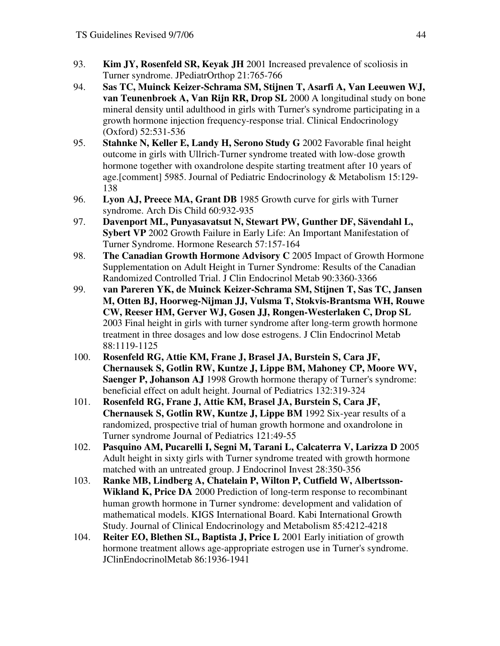- 93. **Kim JY, Rosenfeld SR, Keyak JH** 2001 Increased prevalence of scoliosis in Turner syndrome. JPediatrOrthop 21:765-766
- 94. **Sas TC, Muinck Keizer-Schrama SM, Stijnen T, Asarfi A, Van Leeuwen WJ, van Teunenbroek A, Van Rijn RR, Drop SL** 2000 A longitudinal study on bone mineral density until adulthood in girls with Turner's syndrome participating in a growth hormone injection frequency-response trial. Clinical Endocrinology (Oxford) 52:531-536
- 95. **Stahnke N, Keller E, Landy H, Serono Study G** 2002 Favorable final height outcome in girls with Ullrich-Turner syndrome treated with low-dose growth hormone together with oxandrolone despite starting treatment after 10 years of age.[comment] 5985. Journal of Pediatric Endocrinology & Metabolism 15:129- 138
- 96. **Lyon AJ, Preece MA, Grant DB** 1985 Growth curve for girls with Turner syndrome. Arch Dis Child 60:932-935
- 97. **Davenport ML, Punyasavatsut N, Stewart PW, Gunther DF, Sävendahl L, Sybert VP** 2002 Growth Failure in Early Life: An Important Manifestation of Turner Syndrome. Hormone Research 57:157-164
- 98. **The Canadian Growth Hormone Advisory C** 2005 Impact of Growth Hormone Supplementation on Adult Height in Turner Syndrome: Results of the Canadian Randomized Controlled Trial. J Clin Endocrinol Metab 90:3360-3366
- 99. **van Pareren YK, de Muinck Keizer-Schrama SM, Stijnen T, Sas TC, Jansen M, Otten BJ, Hoorweg-Nijman JJ, Vulsma T, Stokvis-Brantsma WH, Rouwe CW, Reeser HM, Gerver WJ, Gosen JJ, Rongen-Westerlaken C, Drop SL** 2003 Final height in girls with turner syndrome after long-term growth hormone treatment in three dosages and low dose estrogens. J Clin Endocrinol Metab 88:1119-1125
- 100. **Rosenfeld RG, Attie KM, Frane J, Brasel JA, Burstein S, Cara JF, Chernausek S, Gotlin RW, Kuntze J, Lippe BM, Mahoney CP, Moore WV, Saenger P, Johanson AJ** 1998 Growth hormone therapy of Turner's syndrome: beneficial effect on adult height. Journal of Pediatrics 132:319-324
- 101. **Rosenfeld RG, Frane J, Attie KM, Brasel JA, Burstein S, Cara JF, Chernausek S, Gotlin RW, Kuntze J, Lippe BM** 1992 Six-year results of a randomized, prospective trial of human growth hormone and oxandrolone in Turner syndrome Journal of Pediatrics 121:49-55
- 102. **Pasquino AM, Pucarelli I, Segni M, Tarani L, Calcaterra V, Larizza D** 2005 Adult height in sixty girls with Turner syndrome treated with growth hormone matched with an untreated group. J Endocrinol Invest 28:350-356
- 103. **Ranke MB, Lindberg A, Chatelain P, Wilton P, Cutfield W, Albertsson-Wikland K, Price DA** 2000 Prediction of long-term response to recombinant human growth hormone in Turner syndrome: development and validation of mathematical models. KIGS International Board. Kabi International Growth Study. Journal of Clinical Endocrinology and Metabolism 85:4212-4218
- 104. **Reiter EO, Blethen SL, Baptista J, Price L** 2001 Early initiation of growth hormone treatment allows age-appropriate estrogen use in Turner's syndrome. JClinEndocrinolMetab 86:1936-1941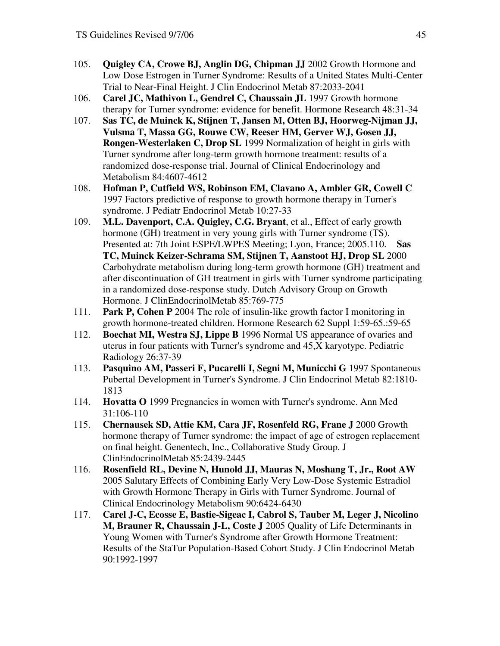- 105. **Quigley CA, Crowe BJ, Anglin DG, Chipman JJ** 2002 Growth Hormone and Low Dose Estrogen in Turner Syndrome: Results of a United States Multi-Center Trial to Near-Final Height. J Clin Endocrinol Metab 87:2033-2041
- 106. **Carel JC, Mathivon L, Gendrel C, Chaussain JL** 1997 Growth hormone therapy for Turner syndrome: evidence for benefit. Hormone Research 48:31-34
- 107. **Sas TC, de Muinck K, Stijnen T, Jansen M, Otten BJ, Hoorweg-Nijman JJ, Vulsma T, Massa GG, Rouwe CW, Reeser HM, Gerver WJ, Gosen JJ, Rongen-Westerlaken C, Drop SL** 1999 Normalization of height in girls with Turner syndrome after long-term growth hormone treatment: results of a randomized dose-response trial. Journal of Clinical Endocrinology and Metabolism 84:4607-4612
- 108. **Hofman P, Cutfield WS, Robinson EM, Clavano A, Ambler GR, Cowell C** 1997 Factors predictive of response to growth hormone therapy in Turner's syndrome. J Pediatr Endocrinol Metab 10:27-33
- 109. **M.L. Davenport, C.A. Quigley, C.G. Bryant**, et al., Effect of early growth hormone (GH) treatment in very young girls with Turner syndrome (TS). Presented at: 7th Joint ESPE/LWPES Meeting; Lyon, France; 2005.110. **Sas TC, Muinck Keizer-Schrama SM, Stijnen T, Aanstoot HJ, Drop SL** 2000 Carbohydrate metabolism during long-term growth hormone (GH) treatment and after discontinuation of GH treatment in girls with Turner syndrome participating in a randomized dose-response study. Dutch Advisory Group on Growth Hormone. J ClinEndocrinolMetab 85:769-775
- 111. **Park P, Cohen P** 2004 The role of insulin-like growth factor I monitoring in growth hormone-treated children. Hormone Research 62 Suppl 1:59-65.:59-65
- 112. **Boechat MI, Westra SJ, Lippe B** 1996 Normal US appearance of ovaries and uterus in four patients with Turner's syndrome and 45,X karyotype. Pediatric Radiology 26:37-39
- 113. **Pasquino AM, Passeri F, Pucarelli I, Segni M, Municchi G** 1997 Spontaneous Pubertal Development in Turner's Syndrome. J Clin Endocrinol Metab 82:1810- 1813
- 114. **Hovatta O** 1999 Pregnancies in women with Turner's syndrome. Ann Med 31:106-110
- 115. **Chernausek SD, Attie KM, Cara JF, Rosenfeld RG, Frane J** 2000 Growth hormone therapy of Turner syndrome: the impact of age of estrogen replacement on final height. Genentech, Inc., Collaborative Study Group. J ClinEndocrinolMetab 85:2439-2445
- 116. **Rosenfield RL, Devine N, Hunold JJ, Mauras N, Moshang T, Jr., Root AW** 2005 Salutary Effects of Combining Early Very Low-Dose Systemic Estradiol with Growth Hormone Therapy in Girls with Turner Syndrome. Journal of Clinical Endocrinology Metabolism 90:6424-6430
- 117. **Carel J-C, Ecosse E, Bastie-Sigeac I, Cabrol S, Tauber M, Leger J, Nicolino M, Brauner R, Chaussain J-L, Coste J** 2005 Quality of Life Determinants in Young Women with Turner's Syndrome after Growth Hormone Treatment: Results of the StaTur Population-Based Cohort Study. J Clin Endocrinol Metab 90:1992-1997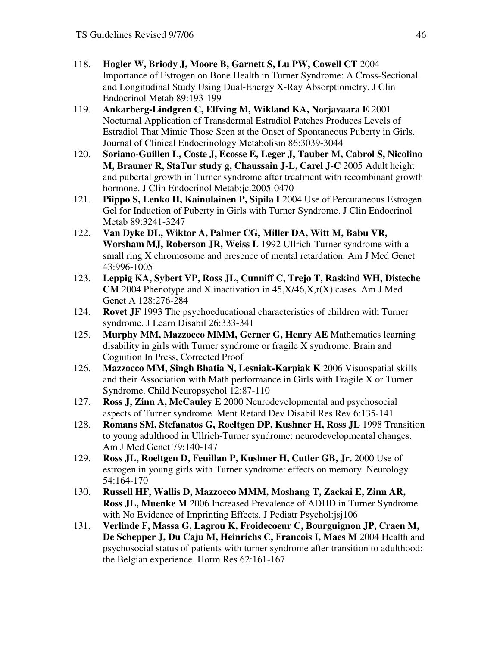- 118. **Hogler W, Briody J, Moore B, Garnett S, Lu PW, Cowell CT** 2004 Importance of Estrogen on Bone Health in Turner Syndrome: A Cross-Sectional and Longitudinal Study Using Dual-Energy X-Ray Absorptiometry. J Clin Endocrinol Metab 89:193-199
- 119. **Ankarberg-Lindgren C, Elfving M, Wikland KA, Norjavaara E** 2001 Nocturnal Application of Transdermal Estradiol Patches Produces Levels of Estradiol That Mimic Those Seen at the Onset of Spontaneous Puberty in Girls. Journal of Clinical Endocrinology Metabolism 86:3039-3044
- 120. **Soriano-Guillen L, Coste J, Ecosse E, Leger J, Tauber M, Cabrol S, Nicolino M, Brauner R, StaTur study g, Chaussain J-L, Carel J-C** 2005 Adult height and pubertal growth in Turner syndrome after treatment with recombinant growth hormone. J Clin Endocrinol Metab:jc.2005-0470
- 121. **Piippo S, Lenko H, Kainulainen P, Sipila I** 2004 Use of Percutaneous Estrogen Gel for Induction of Puberty in Girls with Turner Syndrome. J Clin Endocrinol Metab 89:3241-3247
- 122. **Van Dyke DL, Wiktor A, Palmer CG, Miller DA, Witt M, Babu VR, Worsham MJ, Roberson JR, Weiss L** 1992 Ullrich-Turner syndrome with a small ring X chromosome and presence of mental retardation. Am J Med Genet 43:996-1005
- 123. **Leppig KA, Sybert VP, Ross JL, Cunniff C, Trejo T, Raskind WH, Disteche CM** 2004 Phenotype and X inactivation in 45,X/46,X,r(X) cases. Am J Med Genet A 128:276-284
- 124. **Rovet JF** 1993 The psychoeducational characteristics of children with Turner syndrome. J Learn Disabil 26:333-341
- 125. **Murphy MM, Mazzocco MMM, Gerner G, Henry AE** Mathematics learning disability in girls with Turner syndrome or fragile X syndrome. Brain and Cognition In Press, Corrected Proof
- 126. **Mazzocco MM, Singh Bhatia N, Lesniak-Karpiak K** 2006 Visuospatial skills and their Association with Math performance in Girls with Fragile X or Turner Syndrome. Child Neuropsychol 12:87-110
- 127. **Ross J, Zinn A, McCauley E** 2000 Neurodevelopmental and psychosocial aspects of Turner syndrome. Ment Retard Dev Disabil Res Rev 6:135-141
- 128. **Romans SM, Stefanatos G, Roeltgen DP, Kushner H, Ross JL** 1998 Transition to young adulthood in Ullrich-Turner syndrome: neurodevelopmental changes. Am J Med Genet 79:140-147
- 129. **Ross JL, Roeltgen D, Feuillan P, Kushner H, Cutler GB, Jr.** 2000 Use of estrogen in young girls with Turner syndrome: effects on memory. Neurology 54:164-170
- 130. **Russell HF, Wallis D, Mazzocco MMM, Moshang T, Zackai E, Zinn AR, Ross JL, Muenke M** 2006 Increased Prevalence of ADHD in Turner Syndrome with No Evidence of Imprinting Effects. J Pediatr Psychol:jsj106
- 131. **Verlinde F, Massa G, Lagrou K, Froidecoeur C, Bourguignon JP, Craen M, De Schepper J, Du Caju M, Heinrichs C, Francois I, Maes M** 2004 Health and psychosocial status of patients with turner syndrome after transition to adulthood: the Belgian experience. Horm Res 62:161-167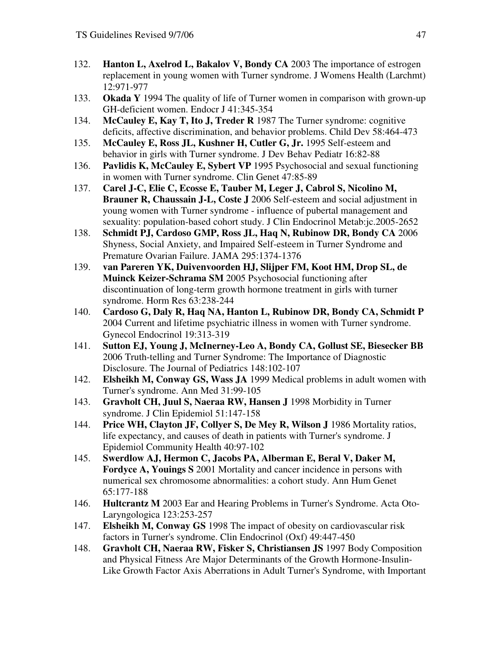- 132. **Hanton L, Axelrod L, Bakalov V, Bondy CA** 2003 The importance of estrogen replacement in young women with Turner syndrome. J Womens Health (Larchmt) 12:971-977
- 133. **Okada Y** 1994 The quality of life of Turner women in comparison with grown-up GH-deficient women. Endocr J 41:345-354
- 134. **McCauley E, Kay T, Ito J, Treder R** 1987 The Turner syndrome: cognitive deficits, affective discrimination, and behavior problems. Child Dev 58:464-473
- 135. **McCauley E, Ross JL, Kushner H, Cutler G, Jr.** 1995 Self-esteem and behavior in girls with Turner syndrome. J Dev Behav Pediatr 16:82-88
- 136. **Pavlidis K, McCauley E, Sybert VP** 1995 Psychosocial and sexual functioning in women with Turner syndrome. Clin Genet 47:85-89
- 137. **Carel J-C, Elie C, Ecosse E, Tauber M, Leger J, Cabrol S, Nicolino M, Brauner R, Chaussain J-L, Coste J** 2006 Self-esteem and social adjustment in young women with Turner syndrome - influence of pubertal management and sexuality: population-based cohort study. J Clin Endocrinol Metab:jc.2005-2652
- 138. **Schmidt PJ, Cardoso GMP, Ross JL, Haq N, Rubinow DR, Bondy CA** 2006 Shyness, Social Anxiety, and Impaired Self-esteem in Turner Syndrome and Premature Ovarian Failure. JAMA 295:1374-1376
- 139. **van Pareren YK, Duivenvoorden HJ, Slijper FM, Koot HM, Drop SL, de Muinck Keizer-Schrama SM** 2005 Psychosocial functioning after discontinuation of long-term growth hormone treatment in girls with turner syndrome. Horm Res 63:238-244
- 140. **Cardoso G, Daly R, Haq NA, Hanton L, Rubinow DR, Bondy CA, Schmidt P** 2004 Current and lifetime psychiatric illness in women with Turner syndrome. Gynecol Endocrinol 19:313-319
- 141. **Sutton EJ, Young J, McInerney-Leo A, Bondy CA, Gollust SE, Biesecker BB** 2006 Truth-telling and Turner Syndrome: The Importance of Diagnostic Disclosure. The Journal of Pediatrics 148:102-107
- 142. **Elsheikh M, Conway GS, Wass JA** 1999 Medical problems in adult women with Turner's syndrome. Ann Med 31:99-105
- 143. **Gravholt CH, Juul S, Naeraa RW, Hansen J** 1998 Morbidity in Turner syndrome. J Clin Epidemiol 51:147-158
- 144. **Price WH, Clayton JF, Collyer S, De Mey R, Wilson J** 1986 Mortality ratios, life expectancy, and causes of death in patients with Turner's syndrome. J Epidemiol Community Health 40:97-102
- 145. **Swerdlow AJ, Hermon C, Jacobs PA, Alberman E, Beral V, Daker M, Fordyce A, Youings S** 2001 Mortality and cancer incidence in persons with numerical sex chromosome abnormalities: a cohort study. Ann Hum Genet 65:177-188
- 146. **Hultcrantz M** 2003 Ear and Hearing Problems in Turner's Syndrome. Acta Oto-Laryngologica 123:253-257
- 147. **Elsheikh M, Conway GS** 1998 The impact of obesity on cardiovascular risk factors in Turner's syndrome. Clin Endocrinol (Oxf) 49:447-450
- 148. **Gravholt CH, Naeraa RW, Fisker S, Christiansen JS** 1997 Body Composition and Physical Fitness Are Major Determinants of the Growth Hormone-Insulin-Like Growth Factor Axis Aberrations in Adult Turner's Syndrome, with Important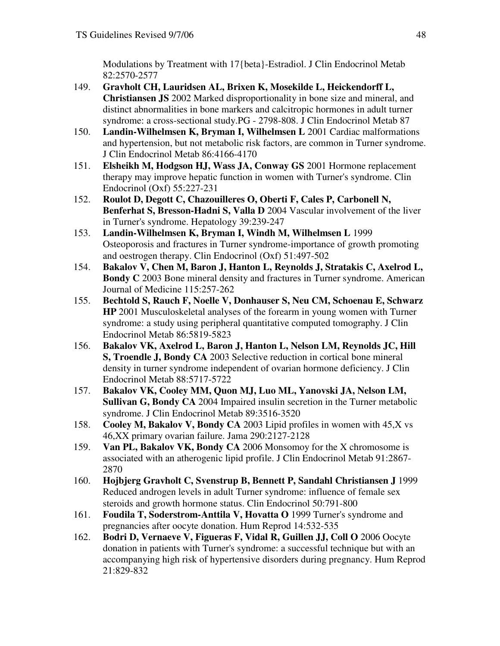Modulations by Treatment with 17{beta}-Estradiol. J Clin Endocrinol Metab 82:2570-2577

- 149. **Gravholt CH, Lauridsen AL, Brixen K, Mosekilde L, Heickendorff L, Christiansen JS** 2002 Marked disproportionality in bone size and mineral, and distinct abnormalities in bone markers and calcitropic hormones in adult turner syndrome: a cross-sectional study.PG - 2798-808. J Clin Endocrinol Metab 87
- 150. **Landin-Wilhelmsen K, Bryman I, Wilhelmsen L** 2001 Cardiac malformations and hypertension, but not metabolic risk factors, are common in Turner syndrome. J Clin Endocrinol Metab 86:4166-4170
- 151. **Elsheikh M, Hodgson HJ, Wass JA, Conway GS** 2001 Hormone replacement therapy may improve hepatic function in women with Turner's syndrome. Clin Endocrinol (Oxf) 55:227-231
- 152. **Roulot D, Degott C, Chazouilleres O, Oberti F, Cales P, Carbonell N, Benferhat S, Bresson-Hadni S, Valla D** 2004 Vascular involvement of the liver in Turner's syndrome. Hepatology 39:239-247
- 153. **Landin-Wilhelmsen K, Bryman I, Windh M, Wilhelmsen L** 1999 Osteoporosis and fractures in Turner syndrome-importance of growth promoting and oestrogen therapy. Clin Endocrinol (Oxf) 51:497-502
- 154. **Bakalov V, Chen M, Baron J, Hanton L, Reynolds J, Stratakis C, Axelrod L, Bondy C** 2003 Bone mineral density and fractures in Turner syndrome. American Journal of Medicine 115:257-262
- 155. **Bechtold S, Rauch F, Noelle V, Donhauser S, Neu CM, Schoenau E, Schwarz HP** 2001 Musculoskeletal analyses of the forearm in young women with Turner syndrome: a study using peripheral quantitative computed tomography. J Clin Endocrinol Metab 86:5819-5823
- 156. **Bakalov VK, Axelrod L, Baron J, Hanton L, Nelson LM, Reynolds JC, Hill S, Troendle J, Bondy CA** 2003 Selective reduction in cortical bone mineral density in turner syndrome independent of ovarian hormone deficiency. J Clin Endocrinol Metab 88:5717-5722
- 157. **Bakalov VK, Cooley MM, Quon MJ, Luo ML, Yanovski JA, Nelson LM, Sullivan G, Bondy CA** 2004 Impaired insulin secretion in the Turner metabolic syndrome. J Clin Endocrinol Metab 89:3516-3520
- 158. **Cooley M, Bakalov V, Bondy CA** 2003 Lipid profiles in women with 45,X vs 46,XX primary ovarian failure. Jama 290:2127-2128
- 159. **Van PL, Bakalov VK, Bondy CA** 2006 Monsomoy for the X chromosome is associated with an atherogenic lipid profile. J Clin Endocrinol Metab 91:2867- 2870
- 160. **Hojbjerg Gravholt C, Svenstrup B, Bennett P, Sandahl Christiansen J** 1999 Reduced androgen levels in adult Turner syndrome: influence of female sex steroids and growth hormone status. Clin Endocrinol 50:791-800
- 161. **Foudila T, Soderstrom-Anttila V, Hovatta O** 1999 Turner's syndrome and pregnancies after oocyte donation. Hum Reprod 14:532-535
- 162. **Bodri D, Vernaeve V, Figueras F, Vidal R, Guillen JJ, Coll O** 2006 Oocyte donation in patients with Turner's syndrome: a successful technique but with an accompanying high risk of hypertensive disorders during pregnancy. Hum Reprod 21:829-832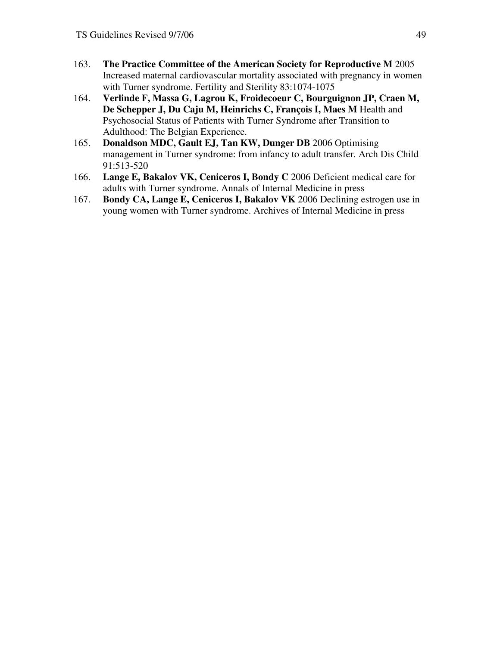- 163. **The Practice Committee of the American Society for Reproductive M** 2005 Increased maternal cardiovascular mortality associated with pregnancy in women with Turner syndrome. Fertility and Sterility 83:1074-1075
- 164. **Verlinde F, Massa G, Lagrou K, Froidecoeur C, Bourguignon JP, Craen M, De Schepper J, Du Caju M, Heinrichs C, François I, Maes M** Health and Psychosocial Status of Patients with Turner Syndrome after Transition to Adulthood: The Belgian Experience.
- 165. **Donaldson MDC, Gault EJ, Tan KW, Dunger DB** 2006 Optimising management in Turner syndrome: from infancy to adult transfer. Arch Dis Child 91:513-520
- 166. **Lange E, Bakalov VK, Ceniceros I, Bondy C** 2006 Deficient medical care for adults with Turner syndrome. Annals of Internal Medicine in press
- 167. **Bondy CA, Lange E, Ceniceros I, Bakalov VK** 2006 Declining estrogen use in young women with Turner syndrome. Archives of Internal Medicine in press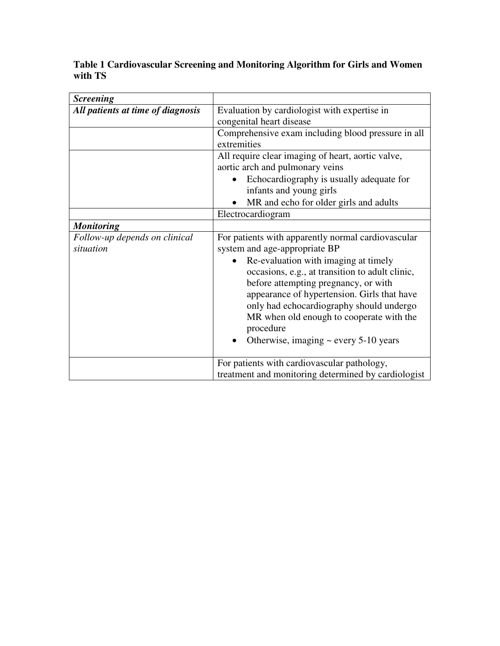# **Table 1 Cardiovascular Screening and Monitoring Algorithm for Girls and Women with TS**

| <b>Screening</b>                           |                                                                                                                                                                                                                                                                                                                                   |  |  |
|--------------------------------------------|-----------------------------------------------------------------------------------------------------------------------------------------------------------------------------------------------------------------------------------------------------------------------------------------------------------------------------------|--|--|
| All patients at time of diagnosis          | Evaluation by cardiologist with expertise in<br>congenital heart disease                                                                                                                                                                                                                                                          |  |  |
|                                            | Comprehensive exam including blood pressure in all<br>extremities                                                                                                                                                                                                                                                                 |  |  |
|                                            | All require clear imaging of heart, aortic valve,<br>aortic arch and pulmonary veins<br>Echocardiography is usually adequate for<br>infants and young girls                                                                                                                                                                       |  |  |
|                                            | MR and echo for older girls and adults                                                                                                                                                                                                                                                                                            |  |  |
|                                            | Electrocardiogram                                                                                                                                                                                                                                                                                                                 |  |  |
| <b>Monitoring</b>                          |                                                                                                                                                                                                                                                                                                                                   |  |  |
| Follow-up depends on clinical<br>situation | For patients with apparently normal cardiovascular<br>system and age-appropriate BP                                                                                                                                                                                                                                               |  |  |
|                                            | Re-evaluation with imaging at timely<br>occasions, e.g., at transition to adult clinic,<br>before attempting pregnancy, or with<br>appearance of hypertension. Girls that have<br>only had echocardiography should undergo<br>MR when old enough to cooperate with the<br>procedure<br>Otherwise, imaging $\sim$ every 5-10 years |  |  |
|                                            | For patients with cardiovascular pathology,<br>treatment and monitoring determined by cardiologist                                                                                                                                                                                                                                |  |  |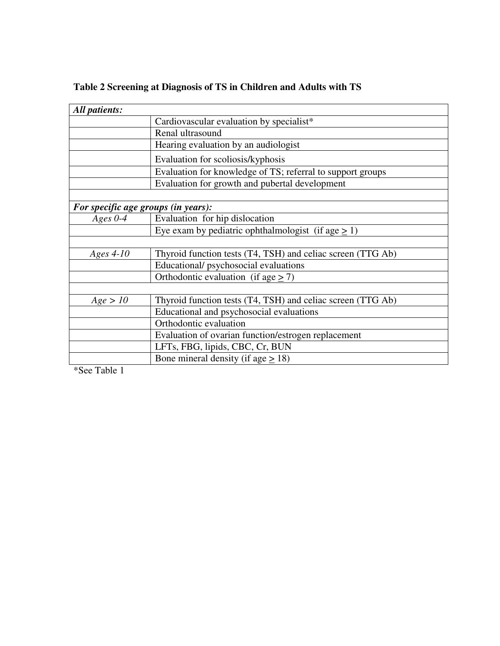| All patients:                       |                                                             |  |  |
|-------------------------------------|-------------------------------------------------------------|--|--|
|                                     | Cardiovascular evaluation by specialist*                    |  |  |
|                                     | Renal ultrasound                                            |  |  |
|                                     | Hearing evaluation by an audiologist                        |  |  |
|                                     | Evaluation for scoliosis/kyphosis                           |  |  |
|                                     | Evaluation for knowledge of TS; referral to support groups  |  |  |
|                                     | Evaluation for growth and pubertal development              |  |  |
|                                     |                                                             |  |  |
| For specific age groups (in years): |                                                             |  |  |
| Ages $0-4$                          | Evaluation for hip dislocation                              |  |  |
|                                     | Eye exam by pediatric ophthalmologist (if age $\geq$ 1)     |  |  |
|                                     |                                                             |  |  |
| Ages 4-10                           | Thyroid function tests (T4, TSH) and celiac screen (TTG Ab) |  |  |
|                                     | Educational/psychosocial evaluations                        |  |  |
|                                     | Orthodontic evaluation (if age $\geq$ 7)                    |  |  |
|                                     |                                                             |  |  |
| Age > 10                            | Thyroid function tests (T4, TSH) and celiac screen (TTG Ab) |  |  |
|                                     | Educational and psychosocial evaluations                    |  |  |
|                                     | Orthodontic evaluation                                      |  |  |
|                                     | Evaluation of ovarian function/estrogen replacement         |  |  |
|                                     | LFTs, FBG, lipids, CBC, Cr, BUN                             |  |  |
|                                     | Bone mineral density (if age $> 18$ )                       |  |  |

# **Table 2 Screening at Diagnosis of TS in Children and Adults with TS**

\*See Table 1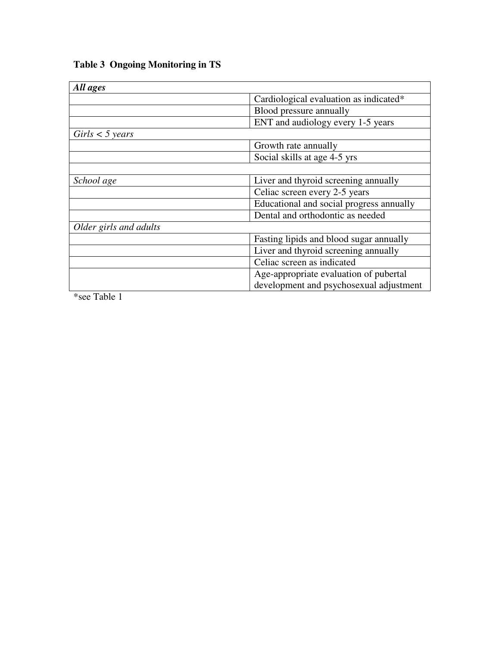| <b>Table 3 Ongoing Monitoring in TS</b> |
|-----------------------------------------|
|-----------------------------------------|

| All ages               |                                          |
|------------------------|------------------------------------------|
|                        | Cardiological evaluation as indicated*   |
|                        | Blood pressure annually                  |
|                        | ENT and audiology every 1-5 years        |
| $Girls < 5$ years      |                                          |
|                        | Growth rate annually                     |
|                        | Social skills at age 4-5 yrs             |
|                        |                                          |
| School age             | Liver and thyroid screening annually     |
|                        | Celiac screen every 2-5 years            |
|                        | Educational and social progress annually |
|                        | Dental and orthodontic as needed         |
| Older girls and adults |                                          |
|                        | Fasting lipids and blood sugar annually  |
|                        | Liver and thyroid screening annually     |
|                        | Celiac screen as indicated               |
|                        | Age-appropriate evaluation of pubertal   |
|                        | development and psychosexual adjustment  |

\*see Table 1